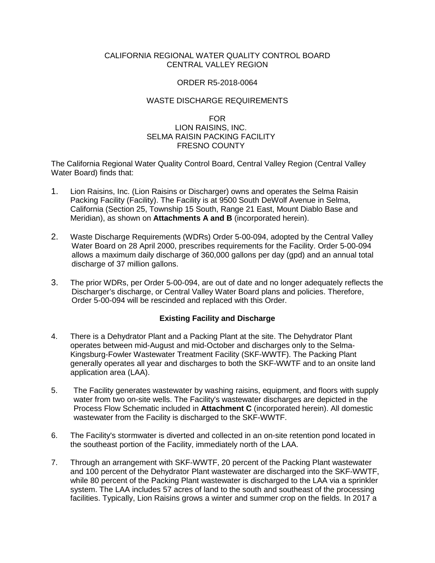## CALIFORNIA REGIONAL WATER QUALITY CONTROL BOARD CENTRAL VALLEY REGION

## ORDER R5-2018-0064

## WASTE DISCHARGE REQUIREMENTS

## FOR LION RAISINS, INC. SELMA RAISIN PACKING FACILITY FRESNO COUNTY

The California Regional Water Quality Control Board, Central Valley Region (Central Valley Water Board) finds that:

- 1. Lion Raisins, Inc. (Lion Raisins or Discharger) owns and operates the Selma Raisin Packing Facility (Facility). The Facility is at 9500 South DeWolf Avenue in Selma, California (Section 25, Township 15 South, Range 21 East, Mount Diablo Base and Meridian), as shown on **Attachments A and B** (incorporated herein).
- 2. Waste Discharge Requirements (WDRs) Order 5-00-094, adopted by the Central Valley Water Board on 28 April 2000, prescribes requirements for the Facility. Order 5-00-094 allows a maximum daily discharge of 360,000 gallons per day (gpd) and an annual total discharge of 37 million gallons.
- 3. The prior WDRs, per Order 5-00-094, are out of date and no longer adequately reflects the Discharger's discharge, or Central Valley Water Board plans and policies. Therefore, Order 5-00-094 will be rescinded and replaced with this Order.

# **Existing Facility and Discharge**

- 4. There is a Dehydrator Plant and a Packing Plant at the site. The Dehydrator Plant operates between mid-August and mid-October and discharges only to the Selma-Kingsburg-Fowler Wastewater Treatment Facility (SKF-WWTF). The Packing Plant generally operates all year and discharges to both the SKF-WWTF and to an onsite land application area (LAA).
- 5. The Facility generates wastewater by washing raisins, equipment, and floors with supply water from two on-site wells. The Facility's wastewater discharges are depicted in the Process Flow Schematic included in **Attachment C** (incorporated herein). All domestic wastewater from the Facility is discharged to the SKF-WWTF.
- 6. The Facility's stormwater is diverted and collected in an on-site retention pond located in the southeast portion of the Facility, immediately north of the LAA.
- 7. Through an arrangement with SKF-WWTF, 20 percent of the Packing Plant wastewater and 100 percent of the Dehydrator Plant wastewater are discharged into the SKF-WWTF, while 80 percent of the Packing Plant wastewater is discharged to the LAA via a sprinkler system. The LAA includes 57 acres of land to the south and southeast of the processing facilities. Typically, Lion Raisins grows a winter and summer crop on the fields. In 2017 a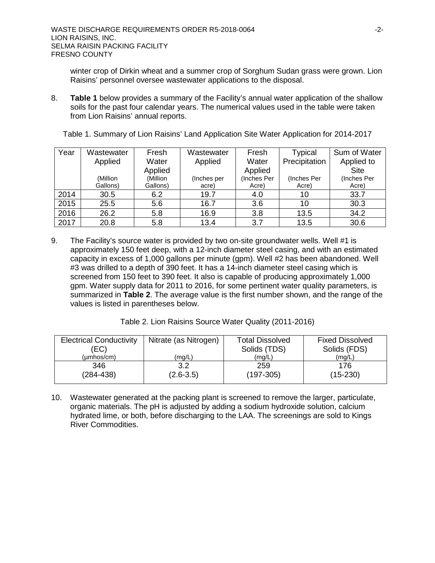winter crop of Dirkin wheat and a summer crop of Sorghum Sudan grass were grown. Lion Raisins' personnel oversee wastewater applications to the disposal.

8. **Table 1** below provides a summary of the Facility's annual water application of the shallow soils for the past four calendar years. The numerical values used in the table were taken from Lion Raisins' annual reports.

| Year | Wastewater | Fresh    | Wastewater  | Fresh       | Typical       | Sum of Water |
|------|------------|----------|-------------|-------------|---------------|--------------|
|      | Applied    | Water    | Applied     | Water       | Precipitation | Applied to   |
|      |            | Applied  |             | Applied     |               | <b>Site</b>  |
|      | (Million   | (Million | (Inches per | (Inches Per | (Inches Per   | (Inches Per  |
|      | Gallons)   | Gallons) | acre)       | Acre)       | Acre)         | Acre)        |
| 2014 | 30.5       | 6.2      | 19.7        | 4.0         | 10            | 33.7         |
| 2015 | 25.5       | 5.6      | 16.7        | 3.6         | 10            | 30.3         |
| 2016 | 26.2       | 5.8      | 16.9        | 3.8         | 13.5          | 34.2         |
| 2017 | 20.8       | 5.8      | 13.4        | 3.7         | 13.5          | 30.6         |

Table 1. Summary of Lion Raisins' Land Application Site Water Application for 2014-2017

9. The Facility's source water is provided by two on-site groundwater wells. Well #1 is approximately 150 feet deep, with a 12-inch diameter steel casing, and with an estimated capacity in excess of 1,000 gallons per minute (gpm). Well #2 has been abandoned. Well #3 was drilled to a depth of 390 feet. It has a 14-inch diameter steel casing which is screened from 150 feet to 390 feet. It also is capable of producing approximately 1,000 gpm. Water supply data for 2011 to 2016, for some pertinent water quality parameters, is summarized in **Table 2**. The average value is the first number shown, and the range of the values is listed in parentheses below.

Table 2. Lion Raisins Source Water Quality (2011-2016)

| <b>Electrical Conductivity</b> | Nitrate (as Nitrogen) | <b>Total Dissolved</b> | <b>Fixed Dissolved</b> |
|--------------------------------|-----------------------|------------------------|------------------------|
| 'EC).                          |                       | Solids (TDS)           | Solids (FDS)           |
| $(\mu m \text{hos/cm})$        | (mg/L)                | (mg/L)                 | (mg/L)                 |
| 346                            | 3.2                   | 259                    | 176                    |
| $(284 - 438)$                  | $(2.6 - 3.5)$         | (197-305)              | $(15-230)$             |

10. Wastewater generated at the packing plant is screened to remove the larger, particulate, organic materials. The pH is adjusted by adding a sodium hydroxide solution, calcium hydrated lime, or both, before discharging to the LAA. The screenings are sold to Kings River Commodities.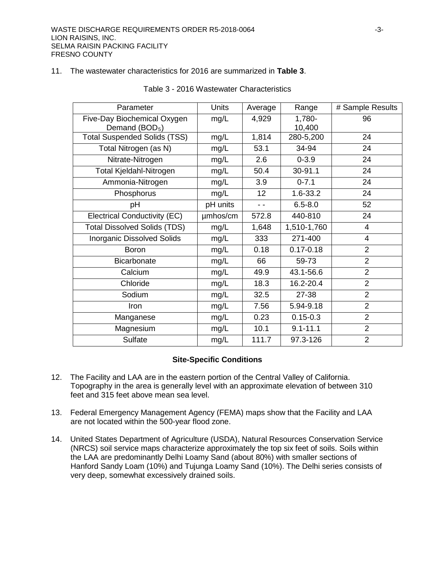#### 11. The wastewater characteristics for 2016 are summarized in **Table 3**.

| Parameter                                                 | <b>Units</b> | Average         | Range            | # Sample Results |
|-----------------------------------------------------------|--------------|-----------------|------------------|------------------|
| Five-Day Biochemical Oxygen<br>Demand (BOD <sub>5</sub> ) | mg/L         | 4,929           | 1,780-<br>10,400 | 96               |
| <b>Total Suspended Solids (TSS)</b>                       | mg/L         | 1,814           | 280-5,200        | 24               |
| Total Nitrogen (as N)                                     | mg/L         | 53.1            | 34-94            | 24               |
| Nitrate-Nitrogen                                          | mg/L         | 2.6             | $0 - 3.9$        | 24               |
| <b>Total Kjeldahl-Nitrogen</b>                            | mg/L         | 50.4            | 30-91.1          | 24               |
| Ammonia-Nitrogen                                          | mg/L         | 3.9             | $0 - 7.1$        | 24               |
| Phosphorus                                                | mg/L         | 12 <sub>2</sub> | $1.6 - 33.2$     | 24               |
| pH                                                        | pH units     | $ -$            | $6.5 - 8.0$      | 52               |
| <b>Electrical Conductivity (EC)</b>                       | umhos/cm     | 572.8           | 440-810          | 24               |
| <b>Total Dissolved Solids (TDS)</b>                       | mg/L         | 1,648           | 1,510-1,760      | 4                |
| <b>Inorganic Dissolved Solids</b>                         | mg/L         | 333             | 271-400          | $\overline{4}$   |
| <b>Boron</b>                                              | mg/L         | 0.18            | $0.17 - 0.18$    | $\overline{2}$   |
| <b>Bicarbonate</b>                                        | mg/L         | 66              | 59-73            | $\overline{2}$   |
| Calcium                                                   | mg/L         | 49.9            | 43.1-56.6        | $\overline{2}$   |
| Chloride                                                  | mg/L         | 18.3            | 16.2-20.4        | $\overline{2}$   |
| Sodium                                                    | mg/L         | 32.5            | 27-38            | $\overline{2}$   |
| Iron                                                      | mg/L         | 7.56            | 5.94-9.18        | $\overline{2}$   |
| Manganese                                                 | mg/L         | 0.23            | $0.15 - 0.3$     | $\overline{2}$   |
| Magnesium                                                 | mg/L         | 10.1            | $9.1 - 11.1$     | $\overline{2}$   |
| Sulfate                                                   | mg/L         | 111.7           | 97.3-126         | $\overline{2}$   |

#### Table 3 - 2016 Wastewater Characteristics

#### **Site-Specific Conditions**

- 12. The Facility and LAA are in the eastern portion of the Central Valley of California. Topography in the area is generally level with an approximate elevation of between 310 feet and 315 feet above mean sea level.
- 13. Federal Emergency Management Agency (FEMA) maps show that the Facility and LAA are not located within the 500-year flood zone.
- 14. United States Department of Agriculture (USDA), Natural Resources Conservation Service (NRCS) soil service maps characterize approximately the top six feet of soils. Soils within the LAA are predominantly Delhi Loamy Sand (about 80%) with smaller sections of Hanford Sandy Loam (10%) and Tujunga Loamy Sand (10%). The Delhi series consists of very deep, somewhat excessively drained soils.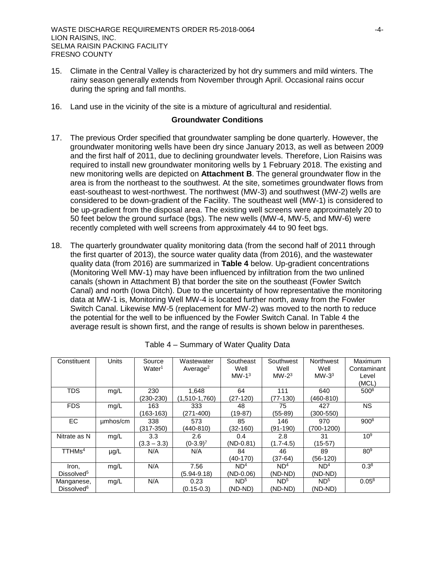- 15. Climate in the Central Valley is characterized by hot dry summers and mild winters. The rainy season generally extends from November through April. Occasional rains occur during the spring and fall months.
- 16. Land use in the vicinity of the site is a mixture of agricultural and residential.

#### **Groundwater Conditions**

- 17. The previous Order specified that groundwater sampling be done quarterly. However, the groundwater monitoring wells have been dry since January 2013, as well as between 2009 and the first half of 2011, due to declining groundwater levels. Therefore, Lion Raisins was required to install new groundwater monitoring wells by 1 February 2018. The existing and new monitoring wells are depicted on **Attachment B**. The general groundwater flow in the area is from the northeast to the southwest. At the site, sometimes groundwater flows from east-southeast to west-northwest. The northwest (MW-3) and southwest (MW-2) wells are considered to be down-gradient of the Facility. The southeast well (MW-1) is considered to be up-gradient from the disposal area. The existing well screens were approximately 20 to 50 feet below the ground surface (bgs). The new wells (MW-4, MW-5, and MW-6) were recently completed with well screens from approximately 44 to 90 feet bgs.
- 18. The quarterly groundwater quality monitoring data (from the second half of 2011 through the first quarter of 2013), the source water quality data (from 2016), and the wastewater quality data (from 2016) are summarized in **Table 4** below. Up-gradient concentrations (Monitoring Well MW-1) may have been influenced by infiltration from the two unlined canals (shown in Attachment B) that border the site on the southeast (Fowler Switch Canal) and north (Iowa Ditch). Due to the uncertainty of how representative the monitoring data at MW-1 is, Monitoring Well MW-4 is located further north, away from the Fowler Switch Canal. Likewise MW-5 (replacement for MW-2) was moved to the north to reduce the potential for the well to be influenced by the Fowler Switch Canal. In Table 4 the average result is shown first, and the range of results is shown below in parentheses.

| Constituent                          | <b>Units</b> | Source<br>Water <sup>1</sup> | Wastewater<br>Average <sup>2</sup> | Southeast<br>Well<br>$MW-13$   | Southwest<br>Well<br>$MW-23$ | <b>Northwest</b><br>Well<br>$MW-33$ | <b>Maximum</b><br>Contaminant<br>Level<br>(MCL) |
|--------------------------------------|--------------|------------------------------|------------------------------------|--------------------------------|------------------------------|-------------------------------------|-------------------------------------------------|
| <b>TDS</b>                           | mg/L         | 230<br>(230-230)             | 1,648<br>$(1,510-1,760)$           | 64<br>$(27-120)$               | 111<br>(77-130)              | 640<br>(460-810)                    | 500 <sup>8</sup>                                |
| <b>FDS</b>                           | mg/L         | 163<br>(163-163)             | 333<br>$(271 - 400)$               | 48<br>(19-87)                  | 75<br>$(55-89)$              | 427<br>(300-550)                    | <b>NS</b>                                       |
| EC.                                  | umhos/cm     | 338<br>(317-350)             | 573<br>(440-810)                   | 85<br>$(32-160)$               | 146<br>(91-190)              | 970<br>$(700-1200)$                 | $900^{8}$                                       |
| Nitrate as N                         | mg/L         | 3.3<br>$(3.3 - 3.3)$         | 2.6<br>$(0-3.9)^7$                 | 0.4<br>$(ND-0.81)$             | 2.8<br>$(1.7 - 4.5)$         | 31<br>$(15-57)$                     | 10 <sup>9</sup>                                 |
| TTHMs <sup>4</sup>                   | $\mu$ g/L    | N/A                          | N/A                                | 84<br>(40-170)                 | 46<br>(37-64)                | 89<br>(56-120)                      | 80 <sup>9</sup>                                 |
| Iron,<br>Dissolved <sup>5</sup>      | mg/L         | N/A                          | 7.56<br>$(5.94 - 9.18)$            | ND <sup>4</sup><br>$(ND-0.06)$ | ND <sup>4</sup><br>(ND-ND)   | ND <sup>4</sup><br>(ND-ND)          | 0.3 <sup>8</sup>                                |
| Manganese,<br>Dissolved <sup>6</sup> | mg/L         | N/A                          | 0.23<br>$(0.15 - 0.3)$             | ND <sup>5</sup><br>(ND-ND)     | ND <sup>5</sup><br>(ND-ND)   | ND <sup>5</sup><br>(ND-ND)          | $0.05^{8}$                                      |

Table 4 – Summary of Water Quality Data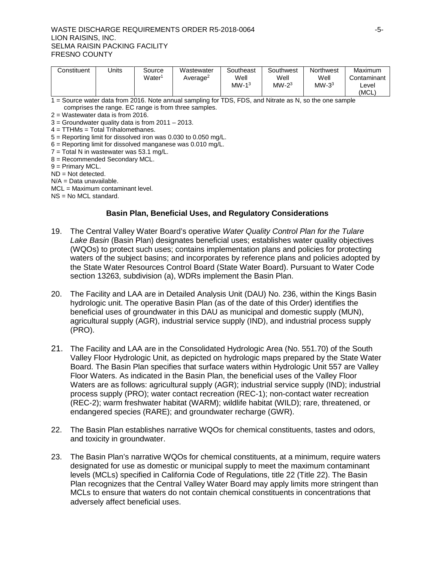#### WASTE DISCHARGE REQUIREMENTS ORDER R5-2018-0064 - -------------------------------LION RAISINS, INC. SELMA RAISIN PACKING FACILITY FRESNO COUNTY

| Constituent | Jnits | Source             | Wastewater           | Southeast | Southwest | <b>Northwest</b> | Maximum     |
|-------------|-------|--------------------|----------------------|-----------|-----------|------------------|-------------|
|             |       | Water <sup>∖</sup> | Average <sup>2</sup> | Well      | Well      | Well             | Contaminant |
|             |       |                    |                      | $MW-13$   | $MW-23$   | $MW-33$          | ∟evel       |
|             |       |                    |                      |           |           |                  | (MCL        |

1 = Source water data from 2016. Note annual sampling for TDS, FDS, and Nitrate as N, so the one sample comprises the range. EC range is from three samples.

2 = Wastewater data is from 2016.

 $3 =$  Groundwater quality data is from 2011 – 2013.

 $4 = TTHMs = Total Trihalomethanes.$ 

5 = Reporting limit for dissolved iron was 0.030 to 0.050 mg/L.

- 6 = Reporting limit for dissolved manganese was 0.010 mg/L.
- 7 = Total N in wastewater was 53.1 mg/L.
- 8 = Recommended Secondary MCL.

9 = Primary MCL.

ND = Not detected.

N/A = Data unavailable.

MCL = Maximum contaminant level.

NS = No MCL standard.

### **Basin Plan, Beneficial Uses, and Regulatory Considerations**

- 19. The Central Valley Water Board's operative *Water Quality Control Plan for the Tulare Lake Basin* (Basin Plan) designates beneficial uses; establishes water quality objectives (WQOs) to protect such uses; contains implementation plans and policies for protecting waters of the subject basins; and incorporates by reference plans and policies adopted by the State Water Resources Control Board (State Water Board). Pursuant to Water Code section 13263, subdivision (a), WDRs implement the Basin Plan.
- 20. The Facility and LAA are in Detailed Analysis Unit (DAU) No. 236, within the Kings Basin hydrologic unit. The operative Basin Plan (as of the date of this Order) identifies the beneficial uses of groundwater in this DAU as municipal and domestic supply (MUN), agricultural supply (AGR), industrial service supply (IND), and industrial process supply (PRO).
- 21. The Facility and LAA are in the Consolidated Hydrologic Area (No. 551.70) of the South Valley Floor Hydrologic Unit, as depicted on hydrologic maps prepared by the State Water Board. The Basin Plan specifies that surface waters within Hydrologic Unit 557 are Valley Floor Waters. As indicated in the Basin Plan, the beneficial uses of the Valley Floor Waters are as follows: agricultural supply (AGR); industrial service supply (IND); industrial process supply (PRO); water contact recreation (REC-1); non-contact water recreation (REC-2); warm freshwater habitat (WARM); wildlife habitat (WILD); rare, threatened, or endangered species (RARE); and groundwater recharge (GWR).
- 22. The Basin Plan establishes narrative WQOs for chemical constituents, tastes and odors, and toxicity in groundwater.
- 23. The Basin Plan's narrative WQOs for chemical constituents, at a minimum, require waters designated for use as domestic or municipal supply to meet the maximum contaminant levels (MCLs) specified in California Code of Regulations, title 22 (Title 22). The Basin Plan recognizes that the Central Valley Water Board may apply limits more stringent than MCLs to ensure that waters do not contain chemical constituents in concentrations that adversely affect beneficial uses.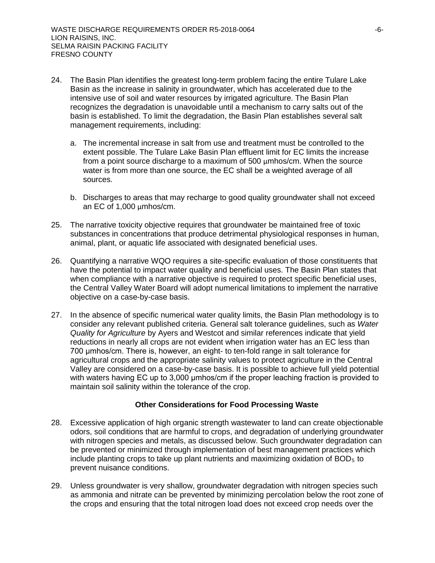- 24. The Basin Plan identifies the greatest long-term problem facing the entire Tulare Lake Basin as the increase in salinity in groundwater, which has accelerated due to the intensive use of soil and water resources by irrigated agriculture. The Basin Plan recognizes the degradation is unavoidable until a mechanism to carry salts out of the basin is established. To limit the degradation, the Basin Plan establishes several salt management requirements, including:
	- a. The incremental increase in salt from use and treatment must be controlled to the extent possible. The Tulare Lake Basin Plan effluent limit for EC limits the increase from a point source discharge to a maximum of 500 µmhos/cm. When the source water is from more than one source, the EC shall be a weighted average of all sources.
	- b. Discharges to areas that may recharge to good quality groundwater shall not exceed an EC of 1,000 µmhos/cm.
- 25. The narrative toxicity objective requires that groundwater be maintained free of toxic substances in concentrations that produce detrimental physiological responses in human, animal, plant, or aquatic life associated with designated beneficial uses.
- 26. Quantifying a narrative WQO requires a site-specific evaluation of those constituents that have the potential to impact water quality and beneficial uses. The Basin Plan states that when compliance with a narrative objective is required to protect specific beneficial uses, the Central Valley Water Board will adopt numerical limitations to implement the narrative objective on a case-by-case basis.
- 27. In the absence of specific numerical water quality limits, the Basin Plan methodology is to consider any relevant published criteria. General salt tolerance guidelines, such as *Water Quality for Agriculture* by Ayers and Westcot and similar references indicate that yield reductions in nearly all crops are not evident when irrigation water has an EC less than 700 μmhos/cm. There is, however, an eight- to ten-fold range in salt tolerance for agricultural crops and the appropriate salinity values to protect agriculture in the Central Valley are considered on a case-by-case basis. It is possible to achieve full yield potential with waters having EC up to 3,000 μmhos/cm if the proper leaching fraction is provided to maintain soil salinity within the tolerance of the crop.

### **Other Considerations for Food Processing Waste**

- 28. Excessive application of high organic strength wastewater to land can create objectionable odors, soil conditions that are harmful to crops, and degradation of underlying groundwater with nitrogen species and metals, as discussed below. Such groundwater degradation can be prevented or minimized through implementation of best management practices which include planting crops to take up plant nutrients and maximizing oxidation of  $BOD<sub>5</sub>$  to prevent nuisance conditions.
- 29. Unless groundwater is very shallow, groundwater degradation with nitrogen species such as ammonia and nitrate can be prevented by minimizing percolation below the root zone of the crops and ensuring that the total nitrogen load does not exceed crop needs over the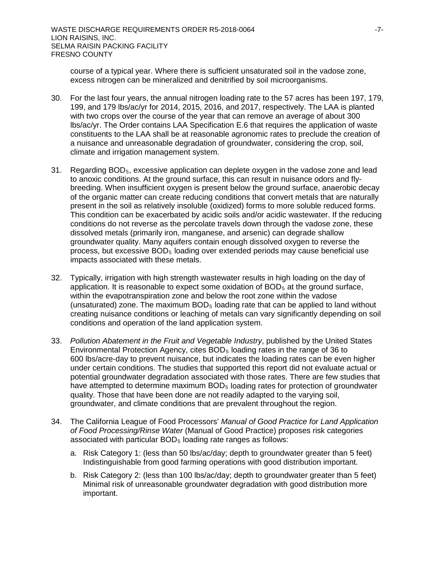course of a typical year. Where there is sufficient unsaturated soil in the vadose zone, excess nitrogen can be mineralized and denitrified by soil microorganisms.

- 30. For the last four years, the annual nitrogen loading rate to the 57 acres has been 197, 179, 199, and 179 lbs/ac/yr for 2014, 2015, 2016, and 2017, respectively. The LAA is planted with two crops over the course of the year that can remove an average of about 300 lbs/ac/yr. The Order contains LAA Specification E.6 that requires the application of waste constituents to the LAA shall be at reasonable agronomic rates to preclude the creation of a nuisance and unreasonable degradation of groundwater, considering the crop, soil, climate and irrigation management system.
- 31. Regarding  $BOD<sub>5</sub>$ , excessive application can deplete oxygen in the vadose zone and lead to anoxic conditions. At the ground surface, this can result in nuisance odors and flybreeding. When insufficient oxygen is present below the ground surface, anaerobic decay of the organic matter can create reducing conditions that convert metals that are naturally present in the soil as relatively insoluble (oxidized) forms to more soluble reduced forms. This condition can be exacerbated by acidic soils and/or acidic wastewater. If the reducing conditions do not reverse as the percolate travels down through the vadose zone, these dissolved metals (primarily iron, manganese, and arsenic) can degrade shallow groundwater quality. Many aquifers contain enough dissolved oxygen to reverse the process, but excessive  $BOD<sub>5</sub>$  loading over extended periods may cause beneficial use impacts associated with these metals.
- 32. Typically, irrigation with high strength wastewater results in high loading on the day of application. It is reasonable to expect some oxidation of  $BOD<sub>5</sub>$  at the ground surface, within the evapotranspiration zone and below the root zone within the vadose (unsaturated) zone. The maximum  $BOD<sub>5</sub>$  loading rate that can be applied to land without creating nuisance conditions or leaching of metals can vary significantly depending on soil conditions and operation of the land application system.
- 33. *Pollution Abatement in the Fruit and Vegetable Industry*, published by the United States Environmental Protection Agency, cites  $BOD<sub>5</sub>$  loading rates in the range of 36 to 600 lbs/acre-day to prevent nuisance, but indicates the loading rates can be even higher under certain conditions. The studies that supported this report did not evaluate actual or potential groundwater degradation associated with those rates. There are few studies that have attempted to determine maximum  $BOD<sub>5</sub>$  loading rates for protection of groundwater quality. Those that have been done are not readily adapted to the varying soil, groundwater, and climate conditions that are prevalent throughout the region.
- 34. The California League of Food Processors' *Manual of Good Practice for Land Application of Food Processing/Rinse Water* (Manual of Good Practice) proposes risk categories associated with particular  $BOD<sub>5</sub>$  loading rate ranges as follows:
	- a. Risk Category 1: (less than 50 lbs/ac/day; depth to groundwater greater than 5 feet) Indistinguishable from good farming operations with good distribution important.
	- b. Risk Category 2: (less than 100 lbs/ac/day; depth to groundwater greater than 5 feet) Minimal risk of unreasonable groundwater degradation with good distribution more important.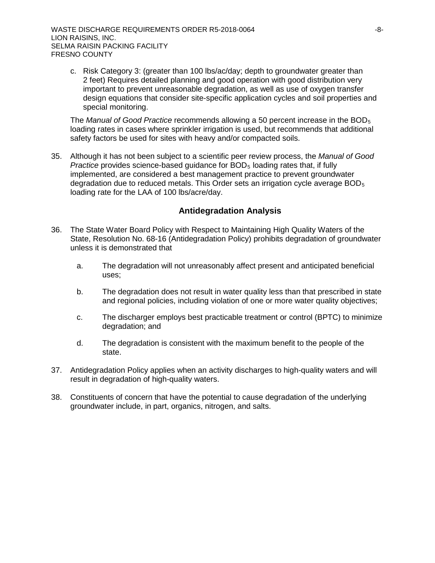c. Risk Category 3: (greater than 100 lbs/ac/day; depth to groundwater greater than 2 feet) Requires detailed planning and good operation with good distribution very important to prevent unreasonable degradation, as well as use of oxygen transfer design equations that consider site-specific application cycles and soil properties and special monitoring.

The *Manual of Good Practice* recommends allowing a 50 percent increase in the BOD5 loading rates in cases where sprinkler irrigation is used, but recommends that additional safety factors be used for sites with heavy and/or compacted soils.

35. Although it has not been subject to a scientific peer review process, the *Manual of Good Practice* provides science-based guidance for  $BOD<sub>5</sub>$  loading rates that, if fully implemented, are considered a best management practice to prevent groundwater degradation due to reduced metals. This Order sets an irrigation cycle average BOD5 loading rate for the LAA of 100 lbs/acre/day.

# **Antidegradation Analysis**

- 36. The State Water Board Policy with Respect to Maintaining High Quality Waters of the State, Resolution No. 68-16 (Antidegradation Policy) prohibits degradation of groundwater unless it is demonstrated that
	- a. The degradation will not unreasonably affect present and anticipated beneficial uses;
	- b. The degradation does not result in water quality less than that prescribed in state and regional policies, including violation of one or more water quality objectives;
	- c. The discharger employs best practicable treatment or control (BPTC) to minimize degradation; and
	- d. The degradation is consistent with the maximum benefit to the people of the state.
- 37. Antidegradation Policy applies when an activity discharges to high-quality waters and will result in degradation of high-quality waters.
- 38. Constituents of concern that have the potential to cause degradation of the underlying groundwater include, in part, organics, nitrogen, and salts.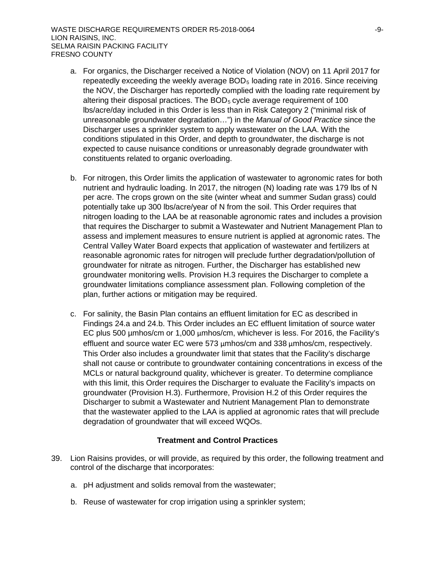- a. For organics, the Discharger received a Notice of Violation (NOV) on 11 April 2017 for repeatedly exceeding the weekly average BOD<sub>5</sub> loading rate in 2016. Since receiving the NOV, the Discharger has reportedly complied with the loading rate requirement by altering their disposal practices. The  $BOD<sub>5</sub>$  cycle average requirement of 100 lbs/acre/day included in this Order is less than in Risk Category 2 ("minimal risk of unreasonable groundwater degradation…") in the *Manual of Good Practice* since the Discharger uses a sprinkler system to apply wastewater on the LAA. With the conditions stipulated in this Order, and depth to groundwater, the discharge is not expected to cause nuisance conditions or unreasonably degrade groundwater with constituents related to organic overloading.
- b. For nitrogen, this Order limits the application of wastewater to agronomic rates for both nutrient and hydraulic loading. In 2017, the nitrogen (N) loading rate was 179 lbs of N per acre. The crops grown on the site (winter wheat and summer Sudan grass) could potentially take up 300 lbs/acre/year of N from the soil. This Order requires that nitrogen loading to the LAA be at reasonable agronomic rates and includes a provision that requires the Discharger to submit a Wastewater and Nutrient Management Plan to assess and implement measures to ensure nutrient is applied at agronomic rates. The Central Valley Water Board expects that application of wastewater and fertilizers at reasonable agronomic rates for nitrogen will preclude further degradation/pollution of groundwater for nitrate as nitrogen. Further, the Discharger has established new groundwater monitoring wells. Provision H.3 requires the Discharger to complete a groundwater limitations compliance assessment plan. Following completion of the plan, further actions or mitigation may be required.
- c. For salinity, the Basin Plan contains an effluent limitation for EC as described in Findings 24.a and 24.b. This Order includes an EC effluent limitation of source water EC plus 500 µmhos/cm or 1,000 µmhos/cm, whichever is less. For 2016, the Facility's effluent and source water EC were 573 µmhos/cm and 338 µmhos/cm, respectively. This Order also includes a groundwater limit that states that the Facility's discharge shall not cause or contribute to groundwater containing concentrations in excess of the MCLs or natural background quality, whichever is greater. To determine compliance with this limit, this Order requires the Discharger to evaluate the Facility's impacts on groundwater (Provision H.3). Furthermore, Provision H.2 of this Order requires the Discharger to submit a Wastewater and Nutrient Management Plan to demonstrate that the wastewater applied to the LAA is applied at agronomic rates that will preclude degradation of groundwater that will exceed WQOs.

### **Treatment and Control Practices**

- 39. Lion Raisins provides, or will provide, as required by this order, the following treatment and control of the discharge that incorporates:
	- a. pH adjustment and solids removal from the wastewater;
	- b. Reuse of wastewater for crop irrigation using a sprinkler system;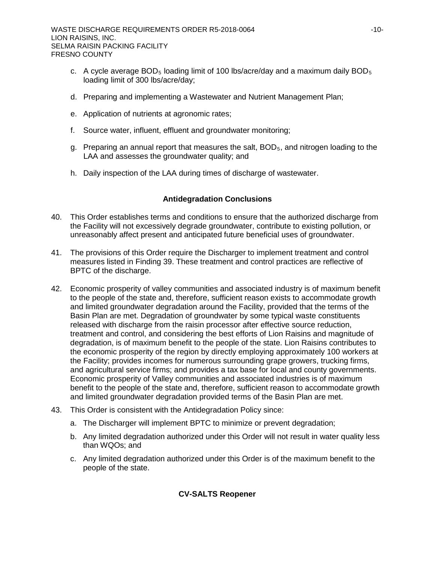- c. A cycle average BOD<sub>5</sub> loading limit of 100 lbs/acre/day and a maximum daily BOD<sub>5</sub> loading limit of 300 lbs/acre/day;
- d. Preparing and implementing a Wastewater and Nutrient Management Plan;
- e. Application of nutrients at agronomic rates;
- f. Source water, influent, effluent and groundwater monitoring;
- g. Preparing an annual report that measures the salt,  $BOD<sub>5</sub>$ , and nitrogen loading to the LAA and assesses the groundwater quality; and
- h. Daily inspection of the LAA during times of discharge of wastewater.

# **Antidegradation Conclusions**

- 40. This Order establishes terms and conditions to ensure that the authorized discharge from the Facility will not excessively degrade groundwater, contribute to existing pollution, or unreasonably affect present and anticipated future beneficial uses of groundwater.
- 41. The provisions of this Order require the Discharger to implement treatment and control measures listed in Finding 39. These treatment and control practices are reflective of BPTC of the discharge.
- 42. Economic prosperity of valley communities and associated industry is of maximum benefit to the people of the state and, therefore, sufficient reason exists to accommodate growth and limited groundwater degradation around the Facility, provided that the terms of the Basin Plan are met. Degradation of groundwater by some typical waste constituents released with discharge from the raisin processor after effective source reduction, treatment and control, and considering the best efforts of Lion Raisins and magnitude of degradation, is of maximum benefit to the people of the state. Lion Raisins contributes to the economic prosperity of the region by directly employing approximately 100 workers at the Facility; provides incomes for numerous surrounding grape growers, trucking firms, and agricultural service firms; and provides a tax base for local and county governments. Economic prosperity of Valley communities and associated industries is of maximum benefit to the people of the state and, therefore, sufficient reason to accommodate growth and limited groundwater degradation provided terms of the Basin Plan are met.
- 43. This Order is consistent with the Antidegradation Policy since:
	- a. The Discharger will implement BPTC to minimize or prevent degradation;
	- b. Any limited degradation authorized under this Order will not result in water quality less than WQOs; and
	- c. Any limited degradation authorized under this Order is of the maximum benefit to the people of the state.

# **CV-SALTS Reopener**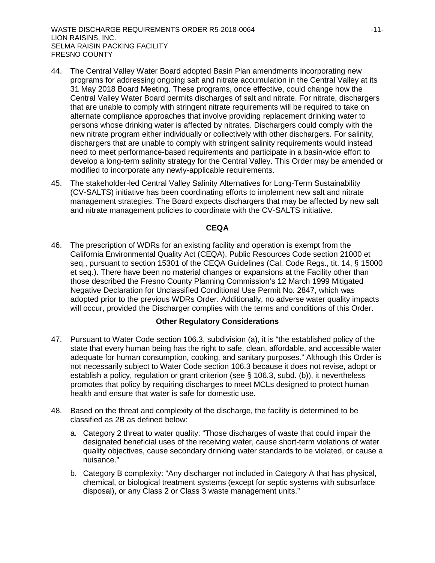- 44. The Central Valley Water Board adopted Basin Plan amendments incorporating new programs for addressing ongoing salt and nitrate accumulation in the Central Valley at its 31 May 2018 Board Meeting. These programs, once effective, could change how the Central Valley Water Board permits discharges of salt and nitrate. For nitrate, dischargers that are unable to comply with stringent nitrate requirements will be required to take on alternate compliance approaches that involve providing replacement drinking water to persons whose drinking water is affected by nitrates. Dischargers could comply with the new nitrate program either individually or collectively with other dischargers. For salinity, dischargers that are unable to comply with stringent salinity requirements would instead need to meet performance-based requirements and participate in a basin-wide effort to develop a long-term salinity strategy for the Central Valley. This Order may be amended or modified to incorporate any newly-applicable requirements.
- 45. The stakeholder-led Central Valley Salinity Alternatives for Long-Term Sustainability (CV-SALTS) initiative has been coordinating efforts to implement new salt and nitrate management strategies. The Board expects dischargers that may be affected by new salt and nitrate management policies to coordinate with the CV-SALTS initiative.

### **CEQA**

46. The prescription of WDRs for an existing facility and operation is exempt from the California Environmental Quality Act (CEQA), Public Resources Code section 21000 et seq., pursuant to section 15301 of the CEQA Guidelines (Cal. Code Regs., tit. 14, § 15000 et seq.). There have been no material changes or expansions at the Facility other than those described the Fresno County Planning Commission's 12 March 1999 Mitigated Negative Declaration for Unclassified Conditional Use Permit No. 2847, which was adopted prior to the previous WDRs Order. Additionally, no adverse water quality impacts will occur, provided the Discharger complies with the terms and conditions of this Order.

### **Other Regulatory Considerations**

- 47. Pursuant to Water Code section 106.3, subdivision (a), it is "the established policy of the state that every human being has the right to safe, clean, affordable, and accessible water adequate for human consumption, cooking, and sanitary purposes." Although this Order is not necessarily subject to Water Code section 106.3 because it does not revise, adopt or establish a policy, regulation or grant criterion (see § 106.3, subd. (b)), it nevertheless promotes that policy by requiring discharges to meet MCLs designed to protect human health and ensure that water is safe for domestic use.
- 48. Based on the threat and complexity of the discharge, the facility is determined to be classified as 2B as defined below:
	- a. Category 2 threat to water quality: "Those discharges of waste that could impair the designated beneficial uses of the receiving water, cause short-term violations of water quality objectives, cause secondary drinking water standards to be violated, or cause a nuisance."
	- b. Category B complexity: "Any discharger not included in Category A that has physical, chemical, or biological treatment systems (except for septic systems with subsurface disposal), or any Class 2 or Class 3 waste management units."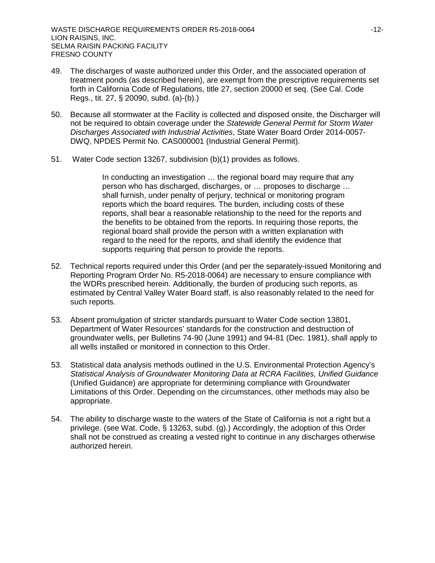- 49. The discharges of waste authorized under this Order, and the associated operation of treatment ponds (as described herein), are exempt from the prescriptive requirements set forth in California Code of Regulations, title 27, section 20000 et seq. (See Cal. Code Regs., tit. 27, § 20090, subd. (a)-(b).)
- 50. Because all stormwater at the Facility is collected and disposed onsite, the Discharger will not be required to obtain coverage under the *Statewide General Permit for Storm Water Discharges Associated with Industrial Activities*, State Water Board Order 2014-0057- DWQ, NPDES Permit No. CAS000001 (Industrial General Permit).
- 51. Water Code section 13267, subdivision (b)(1) provides as follows.

In conducting an investigation … the regional board may require that any person who has discharged, discharges, or … proposes to discharge … shall furnish, under penalty of perjury, technical or monitoring program reports which the board requires. The burden, including costs of these reports, shall bear a reasonable relationship to the need for the reports and the benefits to be obtained from the reports. In requiring those reports, the regional board shall provide the person with a written explanation with regard to the need for the reports, and shall identify the evidence that supports requiring that person to provide the reports.

- 52. Technical reports required under this Order (and per the separately-issued Monitoring and Reporting Program Order No. R5-2018-0064) are necessary to ensure compliance with the WDRs prescribed herein. Additionally, the burden of producing such reports, as estimated by Central Valley Water Board staff, is also reasonably related to the need for such reports.
- 53. Absent promulgation of stricter standards pursuant to Water Code section 13801, Department of Water Resources' standards for the construction and destruction of groundwater wells, per Bulletins 74-90 (June 1991) and 94-81 (Dec. 1981), shall apply to all wells installed or monitored in connection to this Order.
- 53. Statistical data analysis methods outlined in the U.S. Environmental Protection Agency's *Statistical Analysis of Groundwater Monitoring Data at RCRA Facilities, Unified Guidance* (Unified Guidance) are appropriate for determining compliance with Groundwater Limitations of this Order. Depending on the circumstances, other methods may also be appropriate.
- 54. The ability to discharge waste to the waters of the State of California is not a right but a privilege. (see Wat. Code, § 13263, subd. (g).) Accordingly, the adoption of this Order shall not be construed as creating a vested right to continue in any discharges otherwise authorized herein.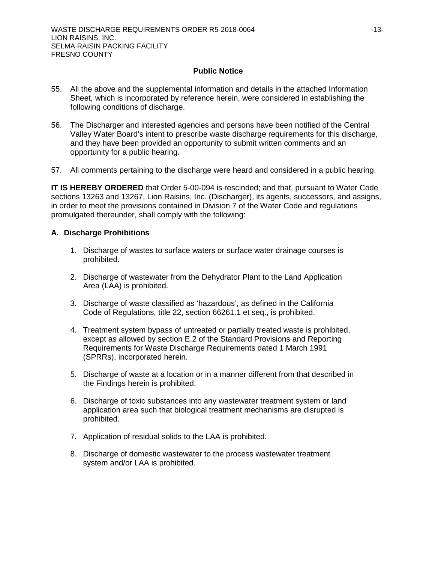## **Public Notice**

- 55. All the above and the supplemental information and details in the attached Information Sheet, which is incorporated by reference herein, were considered in establishing the following conditions of discharge.
- 56. The Discharger and interested agencies and persons have been notified of the Central Valley Water Board's intent to prescribe waste discharge requirements for this discharge, and they have been provided an opportunity to submit written comments and an opportunity for a public hearing.
- 57. All comments pertaining to the discharge were heard and considered in a public hearing.

**IT IS HEREBY ORDERED** that Order 5-00-094 is rescinded; and that, pursuant to Water Code sections 13263 and 13267, Lion Raisins, Inc. (Discharger), its agents, successors, and assigns, in order to meet the provisions contained in Division 7 of the Water Code and regulations promulgated thereunder, shall comply with the following:

## **A. Discharge Prohibitions**

- 1. Discharge of wastes to surface waters or surface water drainage courses is prohibited.
- 2. Discharge of wastewater from the Dehydrator Plant to the Land Application Area (LAA) is prohibited.
- 3. Discharge of waste classified as 'hazardous', as defined in the California Code of Regulations, title 22, section 66261.1 et seq., is prohibited.
- 4. Treatment system bypass of untreated or partially treated waste is prohibited, except as allowed by section E.2 of the Standard Provisions and Reporting Requirements for Waste Discharge Requirements dated 1 March 1991 (SPRRs), incorporated herein.
- 5. Discharge of waste at a location or in a manner different from that described in the Findings herein is prohibited.
- 6. Discharge of toxic substances into any wastewater treatment system or land application area such that biological treatment mechanisms are disrupted is prohibited.
- 7. Application of residual solids to the LAA is prohibited.
- 8. Discharge of domestic wastewater to the process wastewater treatment system and/or LAA is prohibited.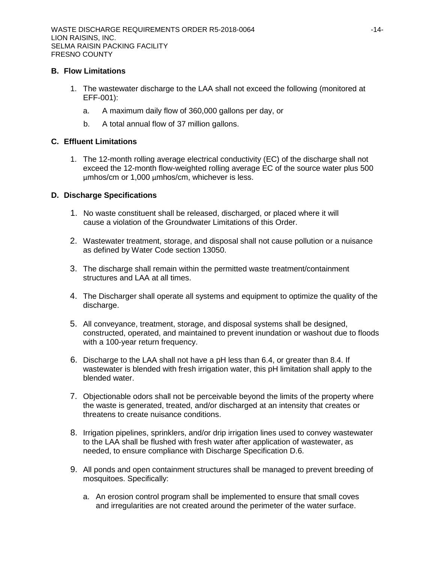## **B. Flow Limitations**

- 1. The wastewater discharge to the LAA shall not exceed the following (monitored at EFF-001):
	- a. A maximum daily flow of 360,000 gallons per day, or
	- b. A total annual flow of 37 million gallons.

## **C. Effluent Limitations**

1. The 12-month rolling average electrical conductivity (EC) of the discharge shall not exceed the 12-month flow-weighted rolling average EC of the source water plus 500 µmhos/cm or 1,000 µmhos/cm, whichever is less.

## **D. Discharge Specifications**

- 1. No waste constituent shall be released, discharged, or placed where it will cause a violation of the Groundwater Limitations of this Order.
- 2. Wastewater treatment, storage, and disposal shall not cause pollution or a nuisance as defined by Water Code section 13050.
- 3. The discharge shall remain within the permitted waste treatment/containment structures and LAA at all times.
- 4. The Discharger shall operate all systems and equipment to optimize the quality of the discharge.
- 5. All conveyance, treatment, storage, and disposal systems shall be designed, constructed, operated, and maintained to prevent inundation or washout due to floods with a 100-year return frequency.
- 6. Discharge to the LAA shall not have a pH less than 6.4, or greater than 8.4. If wastewater is blended with fresh irrigation water, this pH limitation shall apply to the blended water.
- 7. Objectionable odors shall not be perceivable beyond the limits of the property where the waste is generated, treated, and/or discharged at an intensity that creates or threatens to create nuisance conditions.
- 8. Irrigation pipelines, sprinklers, and/or drip irrigation lines used to convey wastewater to the LAA shall be flushed with fresh water after application of wastewater, as needed, to ensure compliance with Discharge Specification D.6.
- 9. All ponds and open containment structures shall be managed to prevent breeding of mosquitoes. Specifically:
	- a. An erosion control program shall be implemented to ensure that small coves and irregularities are not created around the perimeter of the water surface.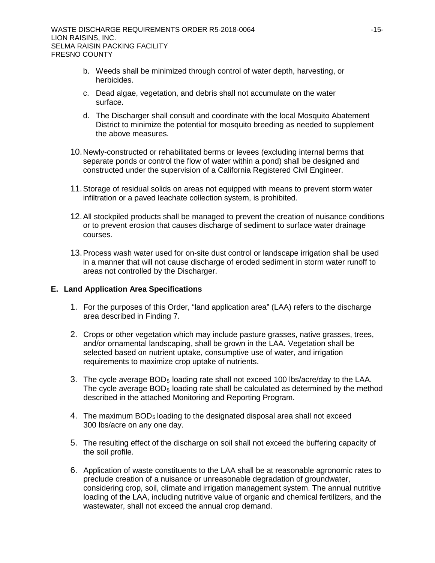- b. Weeds shall be minimized through control of water depth, harvesting, or herbicides.
- c. Dead algae, vegetation, and debris shall not accumulate on the water surface.
- d. The Discharger shall consult and coordinate with the local Mosquito Abatement District to minimize the potential for mosquito breeding as needed to supplement the above measures.
- 10.Newly-constructed or rehabilitated berms or levees (excluding internal berms that separate ponds or control the flow of water within a pond) shall be designed and constructed under the supervision of a California Registered Civil Engineer.
- 11.Storage of residual solids on areas not equipped with means to prevent storm water infiltration or a paved leachate collection system, is prohibited.
- 12.All stockpiled products shall be managed to prevent the creation of nuisance conditions or to prevent erosion that causes discharge of sediment to surface water drainage courses.
- 13.Process wash water used for on-site dust control or landscape irrigation shall be used in a manner that will not cause discharge of eroded sediment in storm water runoff to areas not controlled by the Discharger.

### **E. Land Application Area Specifications**

- 1. For the purposes of this Order, "land application area" (LAA) refers to the discharge area described in Finding 7.
- 2. Crops or other vegetation which may include pasture grasses, native grasses, trees, and/or ornamental landscaping, shall be grown in the LAA. Vegetation shall be selected based on nutrient uptake, consumptive use of water, and irrigation requirements to maximize crop uptake of nutrients.
- 3. The cycle average  $BOD_5$  loading rate shall not exceed 100 lbs/acre/day to the LAA. The cycle average BOD<sub>5</sub> loading rate shall be calculated as determined by the method described in the attached Monitoring and Reporting Program.
- 4. The maximum  $BOD<sub>5</sub>$  loading to the designated disposal area shall not exceed 300 lbs/acre on any one day.
- 5. The resulting effect of the discharge on soil shall not exceed the buffering capacity of the soil profile.
- 6. Application of waste constituents to the LAA shall be at reasonable agronomic rates to preclude creation of a nuisance or unreasonable degradation of groundwater, considering crop, soil, climate and irrigation management system. The annual nutritive loading of the LAA, including nutritive value of organic and chemical fertilizers, and the wastewater, shall not exceed the annual crop demand.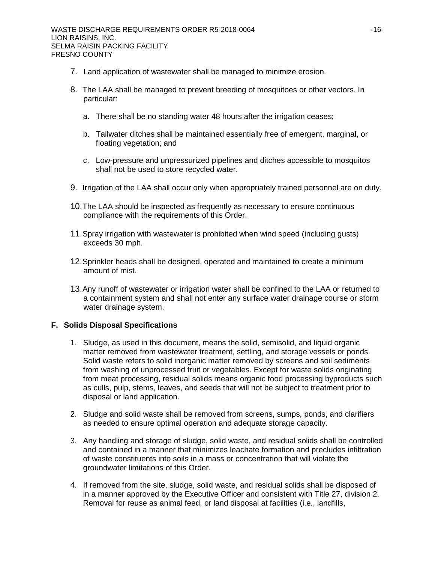- 7. Land application of wastewater shall be managed to minimize erosion.
- 8. The LAA shall be managed to prevent breeding of mosquitoes or other vectors. In particular:
	- a. There shall be no standing water 48 hours after the irrigation ceases;
	- b. Tailwater ditches shall be maintained essentially free of emergent, marginal, or floating vegetation; and
	- c. Low-pressure and unpressurized pipelines and ditches accessible to mosquitos shall not be used to store recycled water.
- 9. Irrigation of the LAA shall occur only when appropriately trained personnel are on duty.
- 10.The LAA should be inspected as frequently as necessary to ensure continuous compliance with the requirements of this Order.
- 11.Spray irrigation with wastewater is prohibited when wind speed (including gusts) exceeds 30 mph.
- 12.Sprinkler heads shall be designed, operated and maintained to create a minimum amount of mist.
- 13.Any runoff of wastewater or irrigation water shall be confined to the LAA or returned to a containment system and shall not enter any surface water drainage course or storm water drainage system.

# **F. Solids Disposal Specifications**

- 1. Sludge, as used in this document, means the solid, semisolid, and liquid organic matter removed from wastewater treatment, settling, and storage vessels or ponds. Solid waste refers to solid inorganic matter removed by screens and soil sediments from washing of unprocessed fruit or vegetables. Except for waste solids originating from meat processing, residual solids means organic food processing byproducts such as culls, pulp, stems, leaves, and seeds that will not be subject to treatment prior to disposal or land application.
- 2. Sludge and solid waste shall be removed from screens, sumps, ponds, and clarifiers as needed to ensure optimal operation and adequate storage capacity.
- 3. Any handling and storage of sludge, solid waste, and residual solids shall be controlled and contained in a manner that minimizes leachate formation and precludes infiltration of waste constituents into soils in a mass or concentration that will violate the groundwater limitations of this Order.
- 4. If removed from the site, sludge, solid waste, and residual solids shall be disposed of in a manner approved by the Executive Officer and consistent with Title 27, division 2. Removal for reuse as animal feed, or land disposal at facilities (i.e., landfills,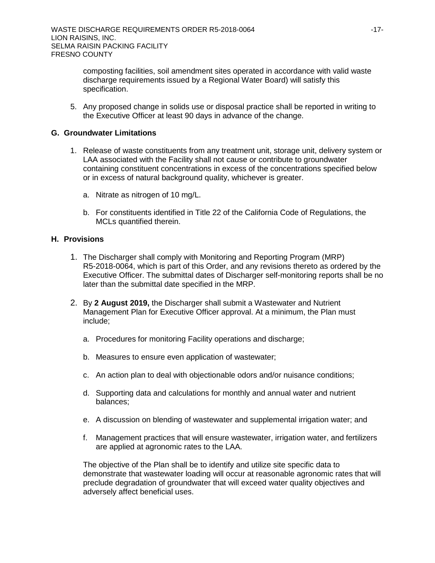composting facilities, soil amendment sites operated in accordance with valid waste discharge requirements issued by a Regional Water Board) will satisfy this specification.

5. Any proposed change in solids use or disposal practice shall be reported in writing to the Executive Officer at least 90 days in advance of the change.

## **G. Groundwater Limitations**

- 1. Release of waste constituents from any treatment unit, storage unit, delivery system or LAA associated with the Facility shall not cause or contribute to groundwater containing constituent concentrations in excess of the concentrations specified below or in excess of natural background quality, whichever is greater.
	- a. Nitrate as nitrogen of 10 mg/L.
	- b. For constituents identified in Title 22 of the California Code of Regulations, the MCLs quantified therein.

## **H. Provisions**

- 1. The Discharger shall comply with Monitoring and Reporting Program (MRP) R5-2018-0064, which is part of this Order, and any revisions thereto as ordered by the Executive Officer. The submittal dates of Discharger self-monitoring reports shall be no later than the submittal date specified in the MRP.
- 2. By **2 August 2019,** the Discharger shall submit a Wastewater and Nutrient Management Plan for Executive Officer approval. At a minimum, the Plan must include;
	- a. Procedures for monitoring Facility operations and discharge;
	- b. Measures to ensure even application of wastewater;
	- c. An action plan to deal with objectionable odors and/or nuisance conditions;
	- d. Supporting data and calculations for monthly and annual water and nutrient balances;
	- e. A discussion on blending of wastewater and supplemental irrigation water; and
	- f. Management practices that will ensure wastewater, irrigation water, and fertilizers are applied at agronomic rates to the LAA.

The objective of the Plan shall be to identify and utilize site specific data to demonstrate that wastewater loading will occur at reasonable agronomic rates that will preclude degradation of groundwater that will exceed water quality objectives and adversely affect beneficial uses.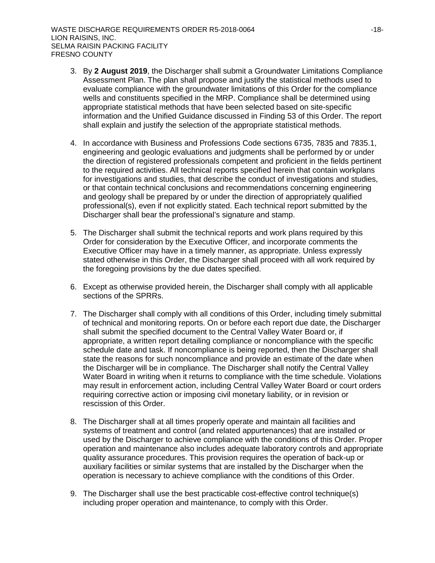- 3. By **2 August 2019**, the Discharger shall submit a Groundwater Limitations Compliance Assessment Plan. The plan shall propose and justify the statistical methods used to evaluate compliance with the groundwater limitations of this Order for the compliance wells and constituents specified in the MRP. Compliance shall be determined using appropriate statistical methods that have been selected based on site-specific information and the Unified Guidance discussed in Finding 53 of this Order. The report shall explain and justify the selection of the appropriate statistical methods.
- 4. In accordance with Business and Professions Code sections 6735, 7835 and 7835.1, engineering and geologic evaluations and judgments shall be performed by or under the direction of registered professionals competent and proficient in the fields pertinent to the required activities. All technical reports specified herein that contain workplans for investigations and studies, that describe the conduct of investigations and studies, or that contain technical conclusions and recommendations concerning engineering and geology shall be prepared by or under the direction of appropriately qualified professional(s), even if not explicitly stated. Each technical report submitted by the Discharger shall bear the professional's signature and stamp.
- 5. The Discharger shall submit the technical reports and work plans required by this Order for consideration by the Executive Officer, and incorporate comments the Executive Officer may have in a timely manner, as appropriate. Unless expressly stated otherwise in this Order, the Discharger shall proceed with all work required by the foregoing provisions by the due dates specified.
- 6. Except as otherwise provided herein, the Discharger shall comply with all applicable sections of the SPRRs.
- 7. The Discharger shall comply with all conditions of this Order, including timely submittal of technical and monitoring reports. On or before each report due date, the Discharger shall submit the specified document to the Central Valley Water Board or, if appropriate, a written report detailing compliance or noncompliance with the specific schedule date and task. If noncompliance is being reported, then the Discharger shall state the reasons for such noncompliance and provide an estimate of the date when the Discharger will be in compliance. The Discharger shall notify the Central Valley Water Board in writing when it returns to compliance with the time schedule. Violations may result in enforcement action, including Central Valley Water Board or court orders requiring corrective action or imposing civil monetary liability, or in revision or rescission of this Order.
- 8. The Discharger shall at all times properly operate and maintain all facilities and systems of treatment and control (and related appurtenances) that are installed or used by the Discharger to achieve compliance with the conditions of this Order. Proper operation and maintenance also includes adequate laboratory controls and appropriate quality assurance procedures. This provision requires the operation of back-up or auxiliary facilities or similar systems that are installed by the Discharger when the operation is necessary to achieve compliance with the conditions of this Order.
- 9. The Discharger shall use the best practicable cost-effective control technique(s) including proper operation and maintenance, to comply with this Order.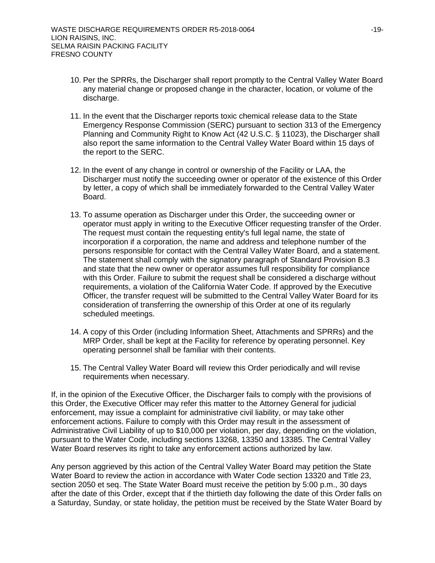- 10. Per the SPRRs, the Discharger shall report promptly to the Central Valley Water Board any material change or proposed change in the character, location, or volume of the discharge.
- 11. In the event that the Discharger reports toxic chemical release data to the State Emergency Response Commission (SERC) pursuant to section 313 of the Emergency Planning and Community Right to Know Act (42 U.S.C. § 11023), the Discharger shall also report the same information to the Central Valley Water Board within 15 days of the report to the SERC.
- 12. In the event of any change in control or ownership of the Facility or LAA, the Discharger must notify the succeeding owner or operator of the existence of this Order by letter, a copy of which shall be immediately forwarded to the Central Valley Water Board.
- 13. To assume operation as Discharger under this Order, the succeeding owner or operator must apply in writing to the Executive Officer requesting transfer of the Order. The request must contain the requesting entity's full legal name, the state of incorporation if a corporation, the name and address and telephone number of the persons responsible for contact with the Central Valley Water Board, and a statement. The statement shall comply with the signatory paragraph of Standard Provision B.3 and state that the new owner or operator assumes full responsibility for compliance with this Order. Failure to submit the request shall be considered a discharge without requirements, a violation of the California Water Code. If approved by the Executive Officer, the transfer request will be submitted to the Central Valley Water Board for its consideration of transferring the ownership of this Order at one of its regularly scheduled meetings.
- 14. A copy of this Order (including Information Sheet, Attachments and SPRRs) and the MRP Order, shall be kept at the Facility for reference by operating personnel. Key operating personnel shall be familiar with their contents.
- 15. The Central Valley Water Board will review this Order periodically and will revise requirements when necessary.

If, in the opinion of the Executive Officer, the Discharger fails to comply with the provisions of this Order, the Executive Officer may refer this matter to the Attorney General for judicial enforcement, may issue a complaint for administrative civil liability, or may take other enforcement actions. Failure to comply with this Order may result in the assessment of Administrative Civil Liability of up to \$10,000 per violation, per day, depending on the violation, pursuant to the Water Code, including sections 13268, 13350 and 13385. The Central Valley Water Board reserves its right to take any enforcement actions authorized by law.

Any person aggrieved by this action of the Central Valley Water Board may petition the State Water Board to review the action in accordance with Water Code section 13320 and Title 23, section 2050 et seq. The State Water Board must receive the petition by 5:00 p.m., 30 days after the date of this Order, except that if the thirtieth day following the date of this Order falls on a Saturday, Sunday, or state holiday, the petition must be received by the State Water Board by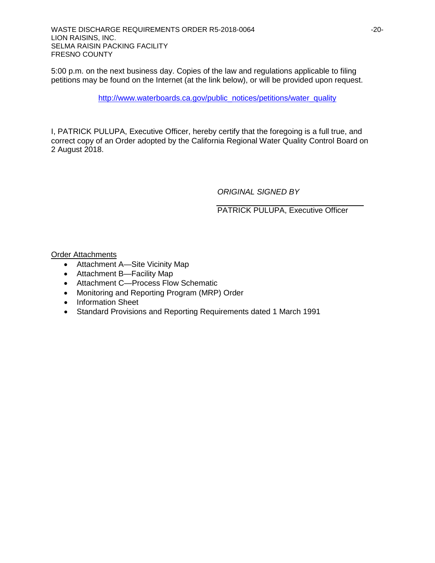5:00 p.m. on the next business day. Copies of the law and regulations applicable to filing petitions may be found on the Internet (at the link below), or will be provided upon request.

[http://www.waterboards.ca.gov/public\\_notices/petitions/water\\_quality](http://www.waterboards.ca.gov/public_notices/petitions/water_quality)

I, PATRICK PULUPA, Executive Officer, hereby certify that the foregoing is a full true, and correct copy of an Order adopted by the California Regional Water Quality Control Board on 2 August 2018.

*ORIGINAL SIGNED BY*

PATRICK PULUPA, Executive Officer

Order Attachments

- Attachment A—Site Vicinity Map
- Attachment B—Facility Map
- Attachment C—Process Flow Schematic
- Monitoring and Reporting Program (MRP) Order
- Information Sheet
- Standard Provisions and Reporting Requirements dated 1 March 1991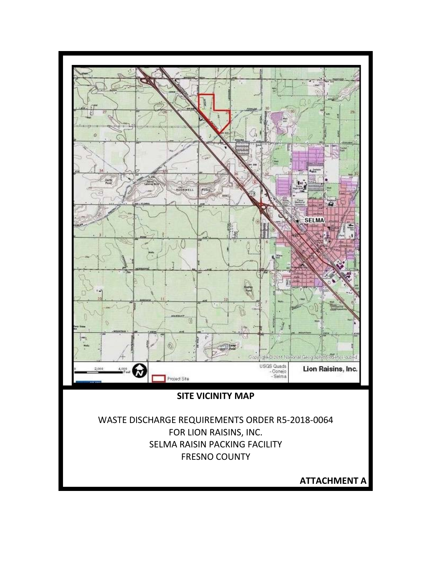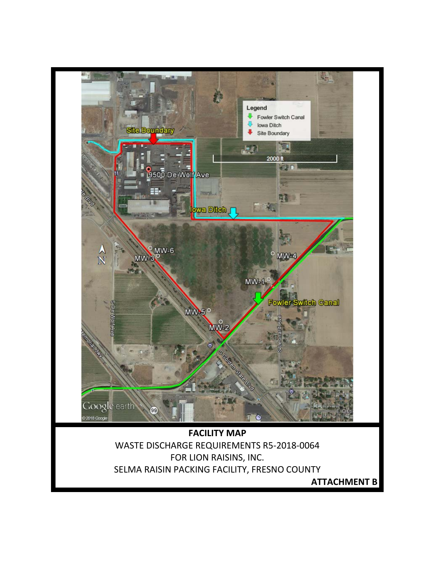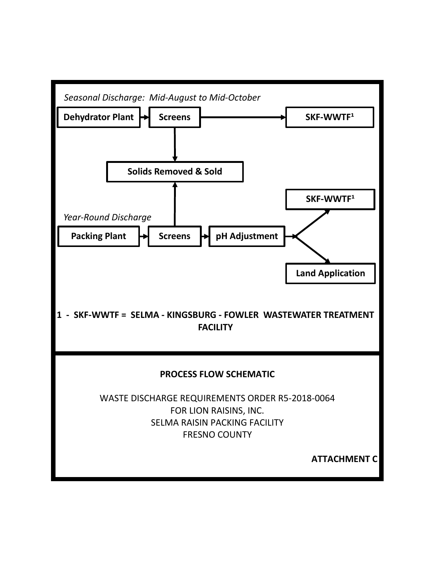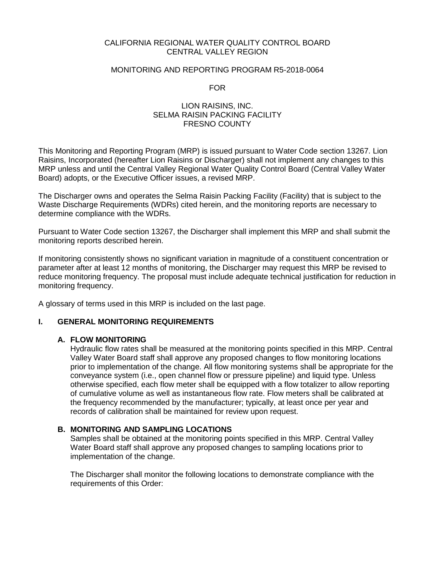## CALIFORNIA REGIONAL WATER QUALITY CONTROL BOARD CENTRAL VALLEY REGION

### MONITORING AND REPORTING PROGRAM R5-2018-0064

FOR

## LION RAISINS, INC. SELMA RAISIN PACKING FACILITY FRESNO COUNTY

This Monitoring and Reporting Program (MRP) is issued pursuant to Water Code section 13267. Lion Raisins, Incorporated (hereafter Lion Raisins or Discharger) shall not implement any changes to this MRP unless and until the Central Valley Regional Water Quality Control Board (Central Valley Water Board) adopts, or the Executive Officer issues, a revised MRP.

The Discharger owns and operates the Selma Raisin Packing Facility (Facility) that is subject to the Waste Discharge Requirements (WDRs) cited herein, and the monitoring reports are necessary to determine compliance with the WDRs.

Pursuant to Water Code section 13267, the Discharger shall implement this MRP and shall submit the monitoring reports described herein.

If monitoring consistently shows no significant variation in magnitude of a constituent concentration or parameter after at least 12 months of monitoring, the Discharger may request this MRP be revised to reduce monitoring frequency. The proposal must include adequate technical justification for reduction in monitoring frequency.

A glossary of terms used in this MRP is included on the last page.

### **I. GENERAL MONITORING REQUIREMENTS**

### **A. FLOW MONITORING**

Hydraulic flow rates shall be measured at the monitoring points specified in this MRP. Central Valley Water Board staff shall approve any proposed changes to flow monitoring locations prior to implementation of the change. All flow monitoring systems shall be appropriate for the conveyance system (i.e., open channel flow or pressure pipeline) and liquid type. Unless otherwise specified, each flow meter shall be equipped with a flow totalizer to allow reporting of cumulative volume as well as instantaneous flow rate. Flow meters shall be calibrated at the frequency recommended by the manufacturer; typically, at least once per year and records of calibration shall be maintained for review upon request.

### **B. MONITORING AND SAMPLING LOCATIONS**

Samples shall be obtained at the monitoring points specified in this MRP. Central Valley Water Board staff shall approve any proposed changes to sampling locations prior to implementation of the change.

The Discharger shall monitor the following locations to demonstrate compliance with the requirements of this Order: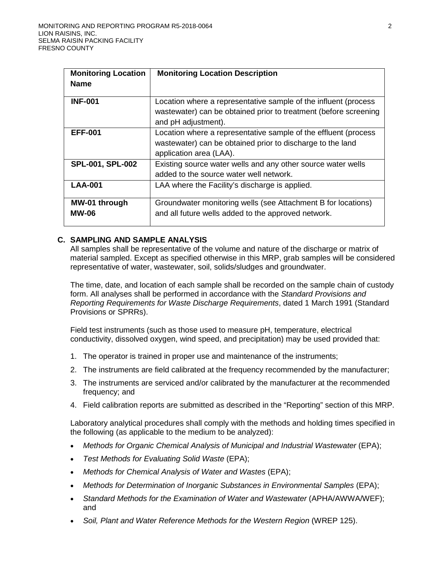| <b>Monitoring Location</b>    | <b>Monitoring Location Description</b>                                                                                                                     |
|-------------------------------|------------------------------------------------------------------------------------------------------------------------------------------------------------|
| <b>Name</b>                   |                                                                                                                                                            |
| <b>INF-001</b>                | Location where a representative sample of the influent (process<br>wastewater) can be obtained prior to treatment (before screening<br>and pH adjustment). |
| <b>EFF-001</b>                | Location where a representative sample of the effluent (process<br>wastewater) can be obtained prior to discharge to the land<br>application area (LAA).   |
| SPL-001, SPL-002              | Existing source water wells and any other source water wells<br>added to the source water well network.                                                    |
| <b>LAA-001</b>                | LAA where the Facility's discharge is applied.                                                                                                             |
| MW-01 through<br><b>MW-06</b> | Groundwater monitoring wells (see Attachment B for locations)<br>and all future wells added to the approved network.                                       |

# **C. SAMPLING AND SAMPLE ANALYSIS**

All samples shall be representative of the volume and nature of the discharge or matrix of material sampled. Except as specified otherwise in this MRP, grab samples will be considered representative of water, wastewater, soil, solids/sludges and groundwater.

The time, date, and location of each sample shall be recorded on the sample chain of custody form. All analyses shall be performed in accordance with the *Standard Provisions and Reporting Requirements for Waste Discharge Requirements*, dated 1 March 1991 (Standard Provisions or SPRRs).

Field test instruments (such as those used to measure pH, temperature, electrical conductivity, dissolved oxygen, wind speed, and precipitation) may be used provided that:

- 1. The operator is trained in proper use and maintenance of the instruments;
- 2. The instruments are field calibrated at the frequency recommended by the manufacturer;
- 3. The instruments are serviced and/or calibrated by the manufacturer at the recommended frequency; and
- 4. Field calibration reports are submitted as described in the "Reporting" section of this MRP.

Laboratory analytical procedures shall comply with the methods and holding times specified in the following (as applicable to the medium to be analyzed):

- *Methods for Organic Chemical Analysis of Municipal and Industrial Wastewater* (EPA);
- *Test Methods for Evaluating Solid Waste* (EPA);
- *Methods for Chemical Analysis of Water and Wastes* (EPA);
- *Methods for Determination of Inorganic Substances in Environmental Samples* (EPA);
- Standard Methods for the Examination of Water and Wastewater (APHA/AWWA/WEF); and
- *Soil, Plant and Water Reference Methods for the Western Region* (WREP 125).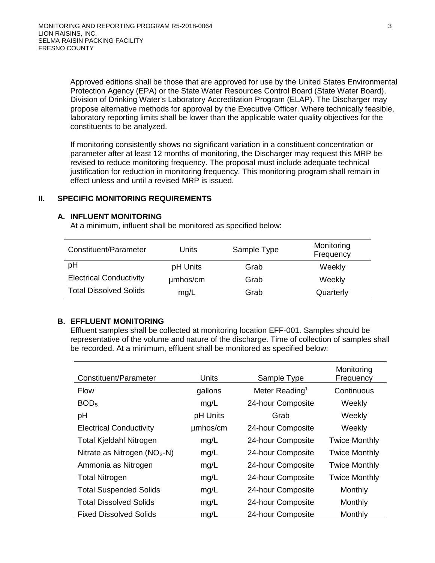Approved editions shall be those that are approved for use by the United States Environmental Protection Agency (EPA) or the State Water Resources Control Board (State Water Board), Division of Drinking Water's Laboratory Accreditation Program (ELAP). The Discharger may propose alternative methods for approval by the Executive Officer. Where technically feasible, laboratory reporting limits shall be lower than the applicable water quality objectives for the constituents to be analyzed.

If monitoring consistently shows no significant variation in a constituent concentration or parameter after at least 12 months of monitoring, the Discharger may request this MRP be revised to reduce monitoring frequency. The proposal must include adequate technical justification for reduction in monitoring frequency. This monitoring program shall remain in effect unless and until a revised MRP is issued.

# **II. SPECIFIC MONITORING REQUIREMENTS**

### **A. INFLUENT MONITORING**

At a minimum, influent shall be monitored as specified below:

| Constituent/Parameter          | Units    | Sample Type | Monitoring<br>Frequency |
|--------------------------------|----------|-------------|-------------------------|
| pH                             | pH Units | Grab        | Weekly                  |
| <b>Electrical Conductivity</b> | umhos/cm | Grab        | Weekly                  |
| <b>Total Dissolved Solids</b>  | mg/L     | Grab        | Quarterly               |

### **B. EFFLUENT MONITORING**

Effluent samples shall be collected at monitoring location EFF-001. Samples should be representative of the volume and nature of the discharge. Time of collection of samples shall be recorded. At a minimum, effluent shall be monitored as specified below:

| Constituent/Parameter          | Units    | Sample Type                | Monitoring<br>Frequency |
|--------------------------------|----------|----------------------------|-------------------------|
| <b>Flow</b>                    | gallons  | Meter Reading <sup>1</sup> | Continuous              |
| BOD <sub>5</sub>               | mg/L     | 24-hour Composite          | Weekly                  |
| рH                             | pH Units | Grab                       | Weekly                  |
| <b>Electrical Conductivity</b> | umhos/cm | 24-hour Composite          | Weekly                  |
| <b>Total Kjeldahl Nitrogen</b> | mg/L     | 24-hour Composite          | <b>Twice Monthly</b>    |
| Nitrate as Nitrogen $(NO3-N)$  | mg/L     | 24-hour Composite          | <b>Twice Monthly</b>    |
| Ammonia as Nitrogen            | mg/L     | 24-hour Composite          | <b>Twice Monthly</b>    |
| <b>Total Nitrogen</b>          | mg/L     | 24-hour Composite          | <b>Twice Monthly</b>    |
| <b>Total Suspended Solids</b>  | mg/L     | 24-hour Composite          | Monthly                 |
| <b>Total Dissolved Solids</b>  | mg/L     | 24-hour Composite          | Monthly                 |
| <b>Fixed Dissolved Solids</b>  | mg/L     | 24-hour Composite          | Monthly                 |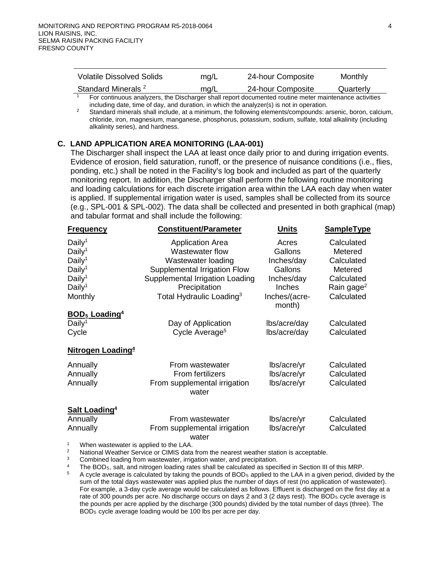| <b>Volatile Dissolved Solids</b> | mq/L | 24-hour Composite | Monthly   |
|----------------------------------|------|-------------------|-----------|
| Standard Minerals <sup>2</sup>   | mq/L | 24-hour Composite | Quarterly |

<sup>1</sup> For continuous analyzers, the Discharger shall report documented routine meter maintenance activities including date, time of day, and duration, in which the analyzer(s) is not in operation.

<sup>2</sup> Standard minerals shall include, at a minimum, the following elements/compounds: arsenic, boron, calcium, chloride, iron, magnesium, manganese, phosphorus, potassium, sodium, sulfate, total alkalinity (including alkalinity series), and hardness.

## **C. LAND APPLICATION AREA MONITORING (LAA-001)**

The Discharger shall inspect the LAA at least once daily prior to and during irrigation events. Evidence of erosion, field saturation, runoff, or the presence of nuisance conditions (i.e., flies, ponding, etc.) shall be noted in the Facility's log book and included as part of the quarterly monitoring report. In addition, the Discharger shall perform the following routine monitoring and loading calculations for each discrete irrigation area within the LAA each day when water is applied. If supplemental irrigation water is used, samples shall be collected from its source (e.g., SPL-001 & SPL-002). The data shall be collected and presented in both graphical (map) and tabular format and shall include the following:

| <b>Frequency</b>                                                                                                                            | <b>Constituent/Parameter</b>                                                                                                                                                                 | Units                                                                                     | SampleType                                                                                           |
|---------------------------------------------------------------------------------------------------------------------------------------------|----------------------------------------------------------------------------------------------------------------------------------------------------------------------------------------------|-------------------------------------------------------------------------------------------|------------------------------------------------------------------------------------------------------|
| Daily <sup>1</sup><br>Daily <sup>1</sup><br>Daily <sup>1</sup><br>Daily <sup>1</sup><br>Daily <sup>1</sup><br>Daily <sup>1</sup><br>Monthly | <b>Application Area</b><br>Wastewater flow<br>Wastewater loading<br>Supplemental Irrigation Flow<br>Supplemental Irrigation Loading<br>Precipitation<br>Total Hydraulic Loading <sup>3</sup> | Acres<br>Gallons<br>Inches/day<br>Gallons<br>Inches/day<br><b>Inches</b><br>Inches/(acre- | Calculated<br>Metered<br>Calculated<br>Metered<br>Calculated<br>Rain gage <sup>2</sup><br>Calculated |
| <b>BOD<sub>5</sub></b> Loading <sup>4</sup>                                                                                                 |                                                                                                                                                                                              | month)                                                                                    |                                                                                                      |
| Daily <sup>1</sup><br>Cycle                                                                                                                 | Day of Application<br>Cycle Average <sup>5</sup>                                                                                                                                             | lbs/acre/day<br>lbs/acre/day                                                              | Calculated<br>Calculated                                                                             |
| Nitrogen Loading <sup>4</sup>                                                                                                               |                                                                                                                                                                                              |                                                                                           |                                                                                                      |
| Annually<br>Annually<br>Annually                                                                                                            | From wastewater<br>From fertilizers<br>From supplemental irrigation<br>water                                                                                                                 | lbs/acre/yr<br>lbs/acre/yr<br>lbs/acre/yr                                                 | Calculated<br>Calculated<br>Calculated                                                               |
| <b>Salt Loading4</b>                                                                                                                        |                                                                                                                                                                                              |                                                                                           |                                                                                                      |
| Annually                                                                                                                                    | From wastewater                                                                                                                                                                              | lbs/acre/yr                                                                               | Calculated                                                                                           |
| Annually                                                                                                                                    | From supplemental irrigation<br>water                                                                                                                                                        | lbs/acre/yr                                                                               | Calculated                                                                                           |
| 1<br>When wastewater is annlied to the LAA                                                                                                  |                                                                                                                                                                                              |                                                                                           |                                                                                                      |

<sup>2</sup><br>National Weather Service or CIMIS data from the nearest weather station is acceptable.<br><sup>3</sup><br>The BOD<sub>5</sub>, salt, and nitrogen loading rates shall be calculated as specified in Section III of this MRP.<br><sup>4</sup><br>A cyclo average i

A cycle average is calculated by taking the pounds of BOD<sub>5</sub> applied to the LAA in a given period, divided by the sum of the total days wastewater was applied plus the number of days of rest (no application of wastewater). For example, a 3-day cycle average would be calculated as follows. Effluent is discharged on the first day at a rate of 300 pounds per acre. No discharge occurs on days 2 and 3 (2 days rest). The BOD<sub>5</sub> cycle average is the pounds per acre applied by the discharge (300 pounds) divided by the total number of days (three). The BOD5 cycle average loading would be 100 lbs per acre per day.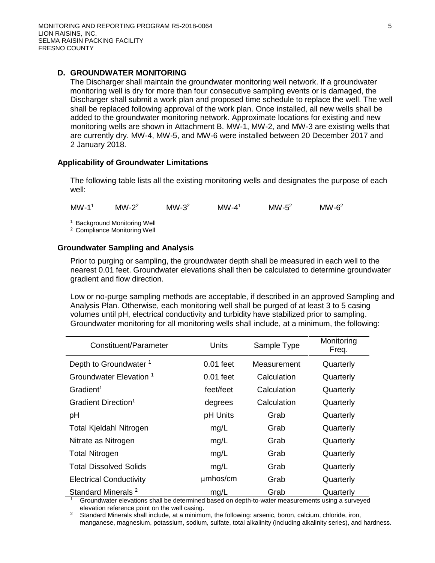# **D. GROUNDWATER MONITORING**

The Discharger shall maintain the groundwater monitoring well network. If a groundwater monitoring well is dry for more than four consecutive sampling events or is damaged, the Discharger shall submit a work plan and proposed time schedule to replace the well. The well shall be replaced following approval of the work plan. Once installed, all new wells shall be added to the groundwater monitoring network. Approximate locations for existing and new monitoring wells are shown in Attachment B. MW-1, MW-2, and MW-3 are existing wells that are currently dry. MW-4, MW-5, and MW-6 were installed between 20 December 2017 and 2 January 2018.

# **Applicability of Groundwater Limitations**

The following table lists all the existing monitoring wells and designates the purpose of each well:

 $MW-1<sup>1</sup>$  MW-2<sup>2</sup> MW-3<sup>2</sup> MW-4<sup>1</sup> MW-5<sup>2</sup> MW-6<sup>2</sup>

<sup>1</sup> Background Monitoring Well

<sup>2</sup> Compliance Monitoring Well

# **Groundwater Sampling and Analysis**

Prior to purging or sampling, the groundwater depth shall be measured in each well to the nearest 0.01 feet. Groundwater elevations shall then be calculated to determine groundwater gradient and flow direction.

Low or no-purge sampling methods are acceptable, if described in an approved Sampling and Analysis Plan. Otherwise, each monitoring well shall be purged of at least 3 to 5 casing volumes until pH, electrical conductivity and turbidity have stabilized prior to sampling. Groundwater monitoring for all monitoring wells shall include, at a minimum, the following:

| Constituent/Parameter              | Units       | Sample Type | Monitoring<br>Freq. |
|------------------------------------|-------------|-------------|---------------------|
| Depth to Groundwater <sup>1</sup>  | $0.01$ feet | Measurement | Quarterly           |
| Groundwater Elevation <sup>1</sup> | $0.01$ feet | Calculation | Quarterly           |
| Gradient <sup>1</sup>              | feet/feet   | Calculation | Quarterly           |
| Gradient Direction <sup>1</sup>    | degrees     | Calculation | Quarterly           |
| рH                                 | pH Units    | Grab        | Quarterly           |
| Total Kjeldahl Nitrogen            | mg/L        | Grab        | Quarterly           |
| Nitrate as Nitrogen                | mg/L        | Grab        | Quarterly           |
| <b>Total Nitrogen</b>              | mg/L        | Grab        | Quarterly           |
| <b>Total Dissolved Solids</b>      | mg/L        | Grab        | Quarterly           |
| <b>Electrical Conductivity</b>     | umhos/cm    | Grab        | Quarterly           |
| Standard Minerals <sup>2</sup>     | mg/L        | Grab        | Quarterly           |

<sup>1</sup> Groundwater elevations shall be determined based on depth-to-water measurements using a surveyed elevation reference point on the well casing.

Standard Minerals shall include, at a minimum, the following: arsenic, boron, calcium, chloride, iron, manganese, magnesium, potassium, sodium, sulfate, total alkalinity (including alkalinity series), and hardness.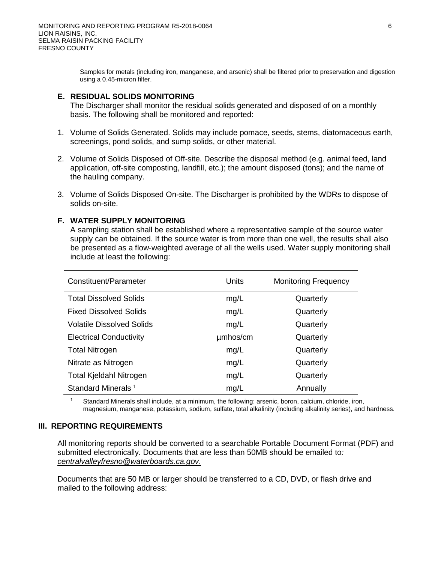Samples for metals (including iron, manganese, and arsenic) shall be filtered prior to preservation and digestion using a 0.45-micron filter.

## **E. RESIDUAL SOLIDS MONITORING**

The Discharger shall monitor the residual solids generated and disposed of on a monthly basis. The following shall be monitored and reported:

- 1. Volume of Solids Generated. Solids may include pomace, seeds, stems, diatomaceous earth, screenings, pond solids, and sump solids, or other material.
- 2. Volume of Solids Disposed of Off-site. Describe the disposal method (e.g. animal feed, land application, off-site composting, landfill, etc.); the amount disposed (tons); and the name of the hauling company.
- 3. Volume of Solids Disposed On-site. The Discharger is prohibited by the WDRs to dispose of solids on-site.

## **F. WATER SUPPLY MONITORING**

A sampling station shall be established where a representative sample of the source water supply can be obtained. If the source water is from more than one well, the results shall also be presented as a flow-weighted average of all the wells used. Water supply monitoring shall include at least the following:

| Constituent/Parameter          | Units    | <b>Monitoring Frequency</b> |
|--------------------------------|----------|-----------------------------|
| <b>Total Dissolved Solids</b>  | mg/L     | Quarterly                   |
| <b>Fixed Dissolved Solids</b>  | mg/L     | Quarterly                   |
| Volatile Dissolved Solids      | mg/L     | Quarterly                   |
| <b>Electrical Conductivity</b> | umhos/cm | Quarterly                   |
| <b>Total Nitrogen</b>          | mg/L     | Quarterly                   |
| Nitrate as Nitrogen            | mg/L     | Quarterly                   |
| <b>Total Kjeldahl Nitrogen</b> | mg/L     | Quarterly                   |
| Standard Minerals <sup>1</sup> | mg/L     | Annually                    |

Standard Minerals shall include, at a minimum, the following: arsenic, boron, calcium, chloride, iron, magnesium, manganese, potassium, sodium, sulfate, total alkalinity (including alkalinity series), and hardness.

### **III. REPORTING REQUIREMENTS**

All monitoring reports should be converted to a searchable Portable Document Format (PDF) and submitted electronically. Documents that are less than 50MB should be emailed to*: [centralvalleyfresno@waterboards.ca.gov](mailto:centralvalleyfresno@waterboards.ca.gov)*.

Documents that are 50 MB or larger should be transferred to a CD, DVD, or flash drive and mailed to the following address: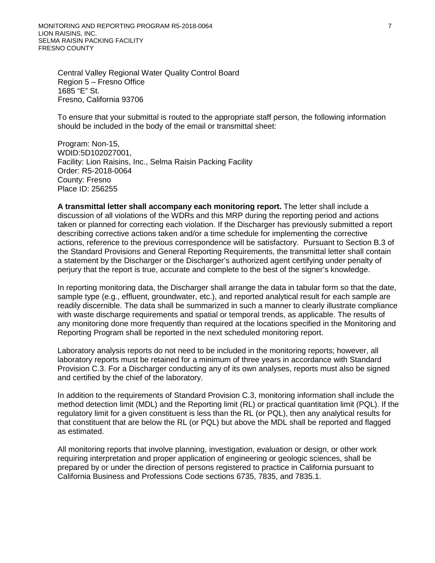MONITORING AND REPORTING PROGRAM R5-2018-0064 **7 7** LION RAISINS, INC. SELMA RAISIN PACKING FACILITY FRESNO COUNTY

Central Valley Regional Water Quality Control Board Region 5 – Fresno Office 1685 "E" St. Fresno, California 93706

To ensure that your submittal is routed to the appropriate staff person, the following information should be included in the body of the email or transmittal sheet:

Program: Non-15, WDID:5D102027001, Facility: Lion Raisins, Inc., Selma Raisin Packing Facility Order: R5-2018-0064 County: Fresno Place ID: 256255

**A transmittal letter shall accompany each monitoring report.** The letter shall include a discussion of all violations of the WDRs and this MRP during the reporting period and actions taken or planned for correcting each violation. If the Discharger has previously submitted a report describing corrective actions taken and/or a time schedule for implementing the corrective actions, reference to the previous correspondence will be satisfactory. Pursuant to Section B.3 of the Standard Provisions and General Reporting Requirements, the transmittal letter shall contain a statement by the Discharger or the Discharger's authorized agent certifying under penalty of perjury that the report is true, accurate and complete to the best of the signer's knowledge.

In reporting monitoring data, the Discharger shall arrange the data in tabular form so that the date, sample type (e.g., effluent, groundwater, etc.), and reported analytical result for each sample are readily discernible. The data shall be summarized in such a manner to clearly illustrate compliance with waste discharge requirements and spatial or temporal trends, as applicable. The results of any monitoring done more frequently than required at the locations specified in the Monitoring and Reporting Program shall be reported in the next scheduled monitoring report.

Laboratory analysis reports do not need to be included in the monitoring reports; however, all laboratory reports must be retained for a minimum of three years in accordance with Standard Provision C.3. For a Discharger conducting any of its own analyses, reports must also be signed and certified by the chief of the laboratory.

In addition to the requirements of Standard Provision C.3, monitoring information shall include the method detection limit (MDL) and the Reporting limit (RL) or practical quantitation limit (PQL). If the regulatory limit for a given constituent is less than the RL (or PQL), then any analytical results for that constituent that are below the RL (or PQL) but above the MDL shall be reported and flagged as estimated.

All monitoring reports that involve planning, investigation, evaluation or design, or other work requiring interpretation and proper application of engineering or geologic sciences, shall be prepared by or under the direction of persons registered to practice in California pursuant to California Business and Professions Code sections 6735, 7835, and 7835.1.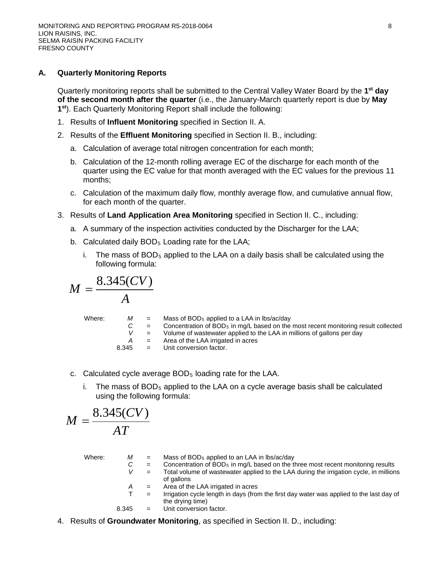# **A. Quarterly Monitoring Reports**

Quarterly monitoring reports shall be submitted to the Central Valley Water Board by the **1st day of the second month after the quarter** (i.e., the January-March quarterly report is due by **May 1st**). Each Quarterly Monitoring Report shall include the following:

- 1. Results of **Influent Monitoring** specified in Section II. A.
- 2. Results of the **Effluent Monitoring** specified in Section II. B., including:
	- a. Calculation of average total nitrogen concentration for each month;
	- b. Calculation of the 12-month rolling average EC of the discharge for each month of the quarter using the EC value for that month averaged with the EC values for the previous 11 months;
	- c. Calculation of the maximum daily flow, monthly average flow, and cumulative annual flow, for each month of the quarter.
- 3. Results of **Land Application Area Monitoring** specified in Section II. C., including:
	- a. A summary of the inspection activities conducted by the Discharger for the LAA;
	- b. Calculated daily  $BOD<sub>5</sub>$  Loading rate for the LAA;
		- i. The mass of  $BOD<sub>5</sub>$  applied to the LAA on a daily basis shall be calculated using the following formula:

$$
M=\frac{8.345(CV)}{A}
$$

| Where: | M<br>8.345 | $=$<br>$\equiv$<br>$=$<br>$=$ | Mass of $BOD5$ applied to a LAA in lbs/ac/day<br>Concentration of BOD <sub>5</sub> in mg/L based on the most recent monitoring result collected<br>Volume of wastewater applied to the LAA in millions of gallons per day<br>Area of the LAA irrigated in acres<br>$=$ Unit conversion factor. |
|--------|------------|-------------------------------|------------------------------------------------------------------------------------------------------------------------------------------------------------------------------------------------------------------------------------------------------------------------------------------------|
|        |            |                               |                                                                                                                                                                                                                                                                                                |

- c. Calculated cycle average BOD5 loading rate for the LAA.
	- i. The mass of  $BOD<sub>5</sub>$  applied to the LAA on a cycle average basis shall be calculated using the following formula:

$$
M = \frac{8.345(CV)}{AT}
$$

| Where: | М<br>C<br>V | $=$<br>$=$<br>$=$ | Mass of BOD <sub>5</sub> applied to an LAA in lbs/ac/day<br>Concentration of BOD <sub>5</sub> in mg/L based on the three most recent monitoring results<br>Total volume of wastewater applied to the LAA during the irrigation cycle, in millions<br>of gallons |
|--------|-------------|-------------------|-----------------------------------------------------------------------------------------------------------------------------------------------------------------------------------------------------------------------------------------------------------------|
|        | A           | $=$               | Area of the LAA irrigated in acres                                                                                                                                                                                                                              |
|        |             | $=$               | Irrigation cycle length in days (from the first day water was applied to the last day of<br>the drying time)                                                                                                                                                    |
|        | 8.345       |                   | Unit conversion factor.                                                                                                                                                                                                                                         |

4. Results of **Groundwater Monitoring**, as specified in Section II. D., including: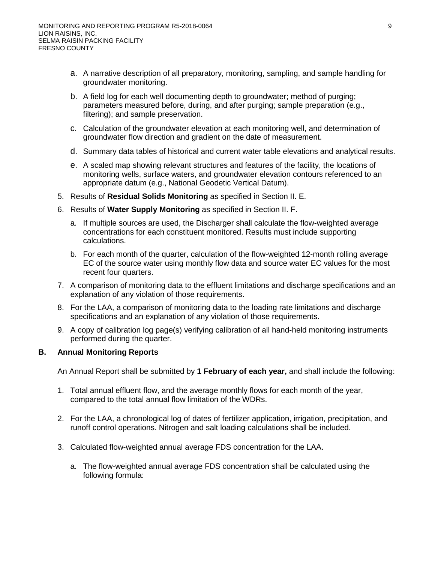- a. A narrative description of all preparatory, monitoring, sampling, and sample handling for groundwater monitoring.
- b. A field log for each well documenting depth to groundwater; method of purging; parameters measured before, during, and after purging; sample preparation (e.g., filtering); and sample preservation.
- c. Calculation of the groundwater elevation at each monitoring well, and determination of groundwater flow direction and gradient on the date of measurement.
- d. Summary data tables of historical and current water table elevations and analytical results.
- e. A scaled map showing relevant structures and features of the facility, the locations of monitoring wells, surface waters, and groundwater elevation contours referenced to an appropriate datum (e.g., National Geodetic Vertical Datum).
- 5. Results of **Residual Solids Monitoring** as specified in Section II. E.
- 6. Results of **Water Supply Monitoring** as specified in Section II. F.
	- a. If multiple sources are used, the Discharger shall calculate the flow-weighted average concentrations for each constituent monitored. Results must include supporting calculations.
	- b. For each month of the quarter, calculation of the flow-weighted 12-month rolling average EC of the source water using monthly flow data and source water EC values for the most recent four quarters.
- 7. A comparison of monitoring data to the effluent limitations and discharge specifications and an explanation of any violation of those requirements.
- 8. For the LAA, a comparison of monitoring data to the loading rate limitations and discharge specifications and an explanation of any violation of those requirements.
- 9. A copy of calibration log page(s) verifying calibration of all hand-held monitoring instruments performed during the quarter.

# **B. Annual Monitoring Reports**

An Annual Report shall be submitted by **1 February of each year,** and shall include the following:

- 1. Total annual effluent flow, and the average monthly flows for each month of the year, compared to the total annual flow limitation of the WDRs.
- 2. For the LAA, a chronological log of dates of fertilizer application, irrigation, precipitation, and runoff control operations. Nitrogen and salt loading calculations shall be included.
- 3. Calculated flow-weighted annual average FDS concentration for the LAA.
	- a. The flow-weighted annual average FDS concentration shall be calculated using the following formula: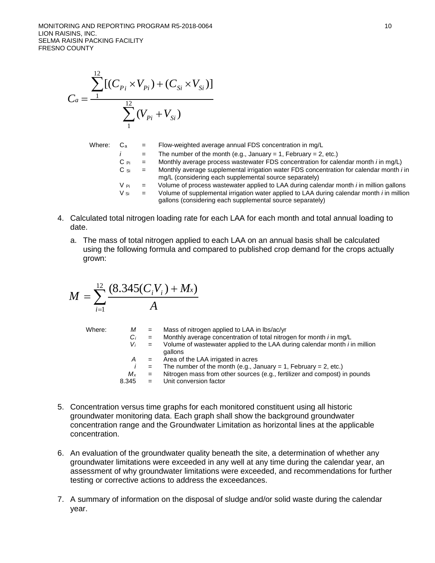MONITORING AND REPORTING PROGRAM R5-2018-0064 10 and 2010 10 and 2010 10 and 2010 10 LION RAISINS, INC. SELMA RAISIN PACKING FACILITY FRESNO COUNTY

$$
C_a = \frac{\sum_{1}^{12} [(C_{P_i} \times V_{P_i}) + (C_{Si} \times V_{Si})]}{\sum_{1}^{12} (V_{P_i} + V_{Si})}
$$

Where: Ca = Flow-weighted average annual FDS concentration in mg/L *i* = The number of the month (e.g., January = 1, February = 2, etc.) C Pi = Monthly average process wastewater FDS concentration for calendar month *i* in mg/L) C Si = Monthly average supplemental irrigation water FDS concentration for calendar month *i* in mg/L (considering each supplemental source separately) V Pi = Volume of process wastewater applied to LAA during calendar month *i* in million gallons V Si = Volume of supplemental irrigation water applied to LAA during calendar month *i* in million gallons (considering each supplemental source separately)

- 4. Calculated total nitrogen loading rate for each LAA for each month and total annual loading to date.
	- a. The mass of total nitrogen applied to each LAA on an annual basis shall be calculated using the following formula and compared to published crop demand for the crops actually grown:

$$
M = \sum_{i=1}^{12} \frac{(8.345(C_i V_i) + M_x)}{A}
$$

Where:

\n
$$
M = \text{Mass of nitrogen applied to LAA in lbs/ac/yr}
$$
\n
$$
C_i = \text{Monthly average concentration of total nitrogen for month } i \text{ in mg/L}
$$
\n
$$
V_i = \text{Volume of wastewater applied to the LAA during calendar month } i \text{ in million gallons}
$$
\n
$$
A = \text{Area of the LAA triggered in acres}
$$
\n
$$
i = \text{The number of the month (e.g., January = 1, February = 2, etc.)}
$$
\n
$$
M_x = \text{Nitrogen mass from other sources (e.g., fertilizer and compost) in pounds}
$$
\n
$$
8.345 = \text{Unit conversion factor}
$$

- 5. Concentration versus time graphs for each monitored constituent using all historic groundwater monitoring data. Each graph shall show the background groundwater concentration range and the Groundwater Limitation as horizontal lines at the applicable concentration.
- 6. An evaluation of the groundwater quality beneath the site, a determination of whether any groundwater limitations were exceeded in any well at any time during the calendar year, an assessment of why groundwater limitations were exceeded, and recommendations for further testing or corrective actions to address the exceedances.
- 7. A summary of information on the disposal of sludge and/or solid waste during the calendar year.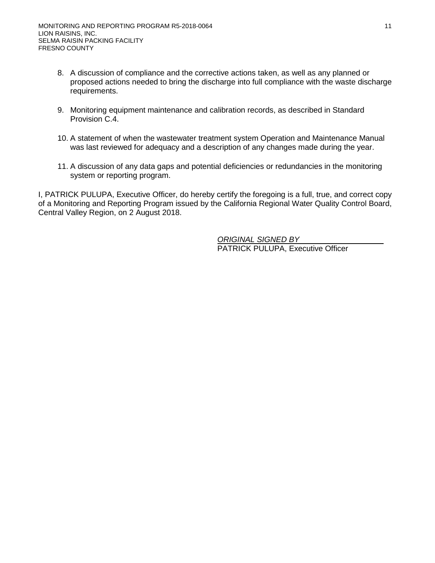- 8. A discussion of compliance and the corrective actions taken, as well as any planned or proposed actions needed to bring the discharge into full compliance with the waste discharge requirements.
- 9. Monitoring equipment maintenance and calibration records, as described in Standard Provision C.4.
- 10. A statement of when the wastewater treatment system Operation and Maintenance Manual was last reviewed for adequacy and a description of any changes made during the year.
- 11. A discussion of any data gaps and potential deficiencies or redundancies in the monitoring system or reporting program.

I, PATRICK PULUPA, Executive Officer, do hereby certify the foregoing is a full, true, and correct copy of a Monitoring and Reporting Program issued by the California Regional Water Quality Control Board, Central Valley Region, on 2 August 2018.

> *ORIGINAL SIGNED BY* PATRICK PULUPA, Executive Officer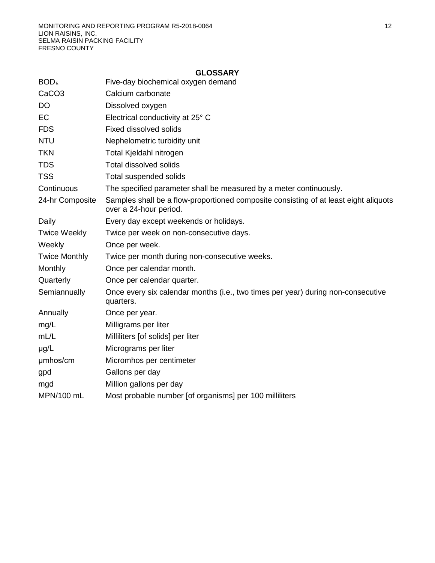| BOD <sub>5</sub>     | Five-day biochemical oxygen demand                                                                             |
|----------------------|----------------------------------------------------------------------------------------------------------------|
| CaCO <sub>3</sub>    | Calcium carbonate                                                                                              |
| DO                   | Dissolved oxygen                                                                                               |
| EC                   | Electrical conductivity at 25° C                                                                               |
| <b>FDS</b>           | <b>Fixed dissolved solids</b>                                                                                  |
| <b>NTU</b>           | Nephelometric turbidity unit                                                                                   |
| <b>TKN</b>           | Total Kjeldahl nitrogen                                                                                        |
| <b>TDS</b>           | <b>Total dissolved solids</b>                                                                                  |
| <b>TSS</b>           | Total suspended solids                                                                                         |
| Continuous           | The specified parameter shall be measured by a meter continuously.                                             |
| 24-hr Composite      | Samples shall be a flow-proportioned composite consisting of at least eight aliquots<br>over a 24-hour period. |
| Daily                | Every day except weekends or holidays.                                                                         |
| <b>Twice Weekly</b>  | Twice per week on non-consecutive days.                                                                        |
| Weekly               | Once per week.                                                                                                 |
| <b>Twice Monthly</b> | Twice per month during non-consecutive weeks.                                                                  |
| Monthly              | Once per calendar month.                                                                                       |
| Quarterly            | Once per calendar quarter.                                                                                     |
| Semiannually         | Once every six calendar months (i.e., two times per year) during non-consecutive<br>quarters.                  |
| Annually             | Once per year.                                                                                                 |
| mg/L                 | Milligrams per liter                                                                                           |
| mL/L                 | Milliliters [of solids] per liter                                                                              |
| $\mu$ g/L            | Micrograms per liter                                                                                           |
| umhos/cm             | Micromhos per centimeter                                                                                       |
| gpd                  | Gallons per day                                                                                                |
| mgd                  | Million gallons per day                                                                                        |
| MPN/100 mL           | Most probable number [of organisms] per 100 milliliters                                                        |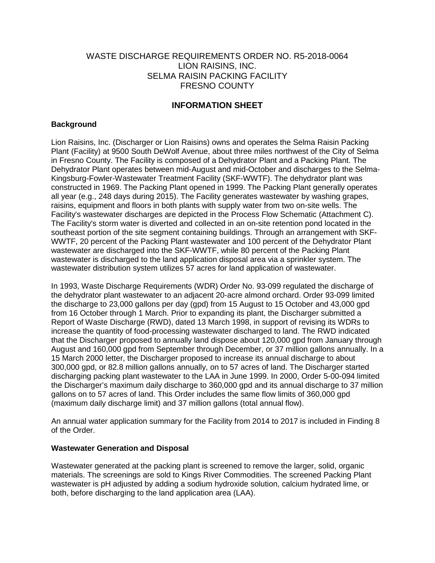# WASTE DISCHARGE REQUIREMENTS ORDER NO. R5-2018-0064 LION RAISINS, INC. SELMA RAISIN PACKING FACILITY FRESNO COUNTY

# **INFORMATION SHEET**

## **Background**

Lion Raisins, Inc. (Discharger or Lion Raisins) owns and operates the Selma Raisin Packing Plant (Facility) at 9500 South DeWolf Avenue, about three miles northwest of the City of Selma in Fresno County. The Facility is composed of a Dehydrator Plant and a Packing Plant. The Dehydrator Plant operates between mid-August and mid-October and discharges to the Selma-Kingsburg-Fowler-Wastewater Treatment Facility (SKF-WWTF). The dehydrator plant was constructed in 1969. The Packing Plant opened in 1999. The Packing Plant generally operates all year (e.g., 248 days during 2015). The Facility generates wastewater by washing grapes, raisins, equipment and floors in both plants with supply water from two on-site wells. The Facility's wastewater discharges are depicted in the Process Flow Schematic (Attachment C). The Facility's storm water is diverted and collected in an on-site retention pond located in the southeast portion of the site segment containing buildings. Through an arrangement with SKF-WWTF, 20 percent of the Packing Plant wastewater and 100 percent of the Dehydrator Plant wastewater are discharged into the SKF-WWTF, while 80 percent of the Packing Plant wastewater is discharged to the land application disposal area via a sprinkler system. The wastewater distribution system utilizes 57 acres for land application of wastewater.

In 1993, Waste Discharge Requirements (WDR) Order No. 93-099 regulated the discharge of the dehydrator plant wastewater to an adjacent 20-acre almond orchard. Order 93-099 limited the discharge to 23,000 gallons per day (gpd) from 15 August to 15 October and 43,000 gpd from 16 October through 1 March. Prior to expanding its plant, the Discharger submitted a Report of Waste Discharge (RWD), dated 13 March 1998, in support of revising its WDRs to increase the quantity of food-processing wastewater discharged to land. The RWD indicated that the Discharger proposed to annually land dispose about 120,000 gpd from January through August and 160,000 gpd from September through December, or 37 million gallons annually. In a 15 March 2000 letter, the Discharger proposed to increase its annual discharge to about 300,000 gpd, or 82.8 million gallons annually, on to 57 acres of land. The Discharger started discharging packing plant wastewater to the LAA in June 1999. In 2000, Order 5-00-094 limited the Discharger's maximum daily discharge to 360,000 gpd and its annual discharge to 37 million gallons on to 57 acres of land. This Order includes the same flow limits of 360,000 gpd (maximum daily discharge limit) and 37 million gallons (total annual flow).

An annual water application summary for the Facility from 2014 to 2017 is included in Finding 8 of the Order.

### **Wastewater Generation and Disposal**

Wastewater generated at the packing plant is screened to remove the larger, solid, organic materials. The screenings are sold to Kings River Commodities. The screened Packing Plant wastewater is pH adjusted by adding a sodium hydroxide solution, calcium hydrated lime, or both, before discharging to the land application area (LAA).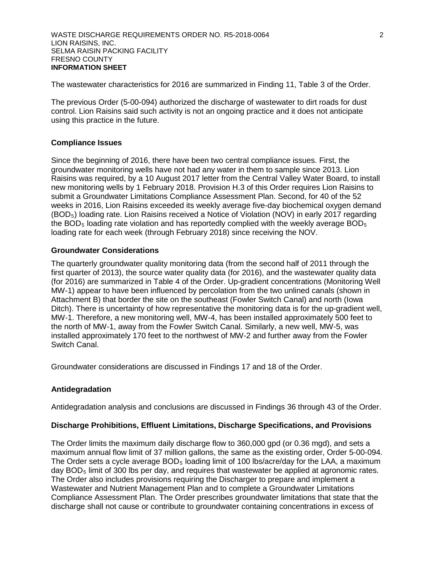The wastewater characteristics for 2016 are summarized in Finding 11, Table 3 of the Order.

The previous Order (5-00-094) authorized the discharge of wastewater to dirt roads for dust control. Lion Raisins said such activity is not an ongoing practice and it does not anticipate using this practice in the future.

## **Compliance Issues**

Since the beginning of 2016, there have been two central compliance issues. First, the groundwater monitoring wells have not had any water in them to sample since 2013. Lion Raisins was required, by a 10 August 2017 letter from the Central Valley Water Board, to install new monitoring wells by 1 February 2018. Provision H.3 of this Order requires Lion Raisins to submit a Groundwater Limitations Compliance Assessment Plan. Second, for 40 of the 52 weeks in 2016, Lion Raisins exceeded its weekly average five-day biochemical oxygen demand (BOD5) loading rate. Lion Raisins received a Notice of Violation (NOV) in early 2017 regarding the BOD<sub>5</sub> loading rate violation and has reportedly complied with the weekly average BOD<sub>5</sub> loading rate for each week (through February 2018) since receiving the NOV.

## **Groundwater Considerations**

The quarterly groundwater quality monitoring data (from the second half of 2011 through the first quarter of 2013), the source water quality data (for 2016), and the wastewater quality data (for 2016) are summarized in Table 4 of the Order. Up-gradient concentrations (Monitoring Well MW-1) appear to have been influenced by percolation from the two unlined canals (shown in Attachment B) that border the site on the southeast (Fowler Switch Canal) and north (Iowa Ditch). There is uncertainty of how representative the monitoring data is for the up-gradient well, MW-1. Therefore, a new monitoring well, MW-4, has been installed approximately 500 feet to the north of MW-1, away from the Fowler Switch Canal. Similarly, a new well, MW-5, was installed approximately 170 feet to the northwest of MW-2 and further away from the Fowler Switch Canal.

Groundwater considerations are discussed in Findings 17 and 18 of the Order.

# **Antidegradation**

Antidegradation analysis and conclusions are discussed in Findings 36 through 43 of the Order.

### **Discharge Prohibitions, Effluent Limitations, Discharge Specifications, and Provisions**

The Order limits the maximum daily discharge flow to 360,000 gpd (or 0.36 mgd), and sets a maximum annual flow limit of 37 million gallons, the same as the existing order, Order 5-00-094. The Order sets a cycle average  $BOD<sub>5</sub>$  loading limit of 100 lbs/acre/day for the LAA, a maximum day  $BOD<sub>5</sub>$  limit of 300 lbs per day, and requires that wastewater be applied at agronomic rates. The Order also includes provisions requiring the Discharger to prepare and implement a Wastewater and Nutrient Management Plan and to complete a Groundwater Limitations Compliance Assessment Plan. The Order prescribes groundwater limitations that state that the discharge shall not cause or contribute to groundwater containing concentrations in excess of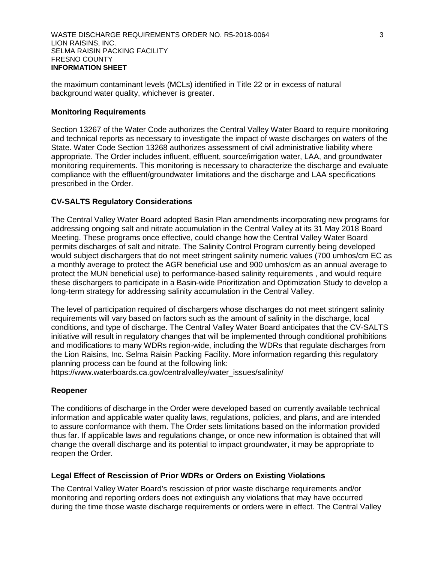the maximum contaminant levels (MCLs) identified in Title 22 or in excess of natural background water quality, whichever is greater.

### **Monitoring Requirements**

Section 13267 of the Water Code authorizes the Central Valley Water Board to require monitoring and technical reports as necessary to investigate the impact of waste discharges on waters of the State. Water Code Section 13268 authorizes assessment of civil administrative liability where appropriate. The Order includes influent, effluent, source/irrigation water, LAA, and groundwater monitoring requirements. This monitoring is necessary to characterize the discharge and evaluate compliance with the effluent/groundwater limitations and the discharge and LAA specifications prescribed in the Order.

### **CV-SALTS Regulatory Considerations**

The Central Valley Water Board adopted Basin Plan amendments incorporating new programs for addressing ongoing salt and nitrate accumulation in the Central Valley at its 31 May 2018 Board Meeting. These programs once effective, could change how the Central Valley Water Board permits discharges of salt and nitrate. The Salinity Control Program currently being developed would subject dischargers that do not meet stringent salinity numeric values (700 umhos/cm EC as a monthly average to protect the AGR beneficial use and 900 umhos/cm as an annual average to protect the MUN beneficial use) to performance-based salinity requirements , and would require these dischargers to participate in a Basin-wide Prioritization and Optimization Study to develop a long-term strategy for addressing salinity accumulation in the Central Valley.

The level of participation required of dischargers whose discharges do not meet stringent salinity requirements will vary based on factors such as the amount of salinity in the discharge, local conditions, and type of discharge. The Central Valley Water Board anticipates that the CV-SALTS initiative will result in regulatory changes that will be implemented through conditional prohibitions and modifications to many WDRs region-wide, including the WDRs that regulate discharges from the Lion Raisins, Inc. Selma Raisin Packing Facility. More information regarding this regulatory planning process can be found at the following link:

https://www.waterboards.ca.gov/centralvalley/water\_issues/salinity/

#### **Reopener**

The conditions of discharge in the Order were developed based on currently available technical information and applicable water quality laws, regulations, policies, and plans, and are intended to assure conformance with them. The Order sets limitations based on the information provided thus far. If applicable laws and regulations change, or once new information is obtained that will change the overall discharge and its potential to impact groundwater, it may be appropriate to reopen the Order.

#### **Legal Effect of Rescission of Prior WDRs or Orders on Existing Violations**

The Central Valley Water Board's rescission of prior waste discharge requirements and/or monitoring and reporting orders does not extinguish any violations that may have occurred during the time those waste discharge requirements or orders were in effect. The Central Valley